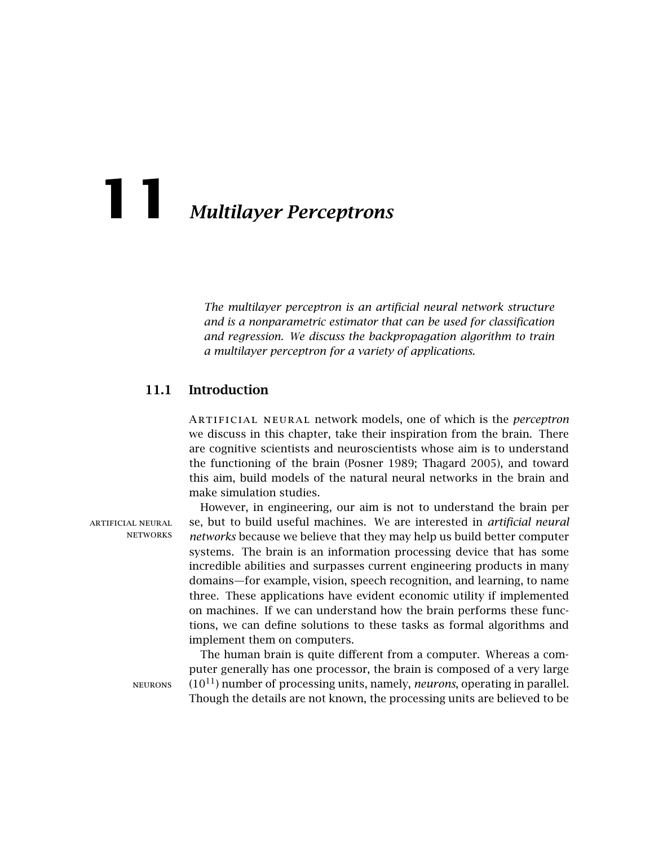# **11** *Multilayer Perceptrons*

*The multilayer perceptron is an artificial neural network structure and is a nonparametric estimator that can be used for classification and regression. We discuss the backpropagation algorithm to train a multilayer perceptron for a variety of applications.*

# **11.1 Introduction**

Artificial neural network models, one of which is the *perceptron* we discuss in this chapter, take their inspiration from the brain. There are cognitive scientists and neuroscientists whose aim is to understand the functioning of the brain (Posner 1989; Thagard 2005), and toward this aim, build models of the natural neural networks in the brain and make simulation studies.

However, in engineering, our aim is not to understand the brain per artificial neural se, but to build useful machines. We are interested in *artificial neural* networks *networks* because we believe that they may help us build better computer systems. The brain is an information processing device that has some incredible abilities and surpasses current engineering products in many domains—for example, vision, speech recognition, and learning, to name three. These applications have evident economic utility if implemented on machines. If we can understand how the brain performs these functions, we can define solutions to these tasks as formal algorithms and implement them on computers.

The human brain is quite different from a computer. Whereas a computer generally has one processor, the brain is composed of a very large  $\mu$  neurons  $(10^{11})$  number of processing units, namely, *neurons*, operating in parallel. Though the details are not known, the processing units are believed to be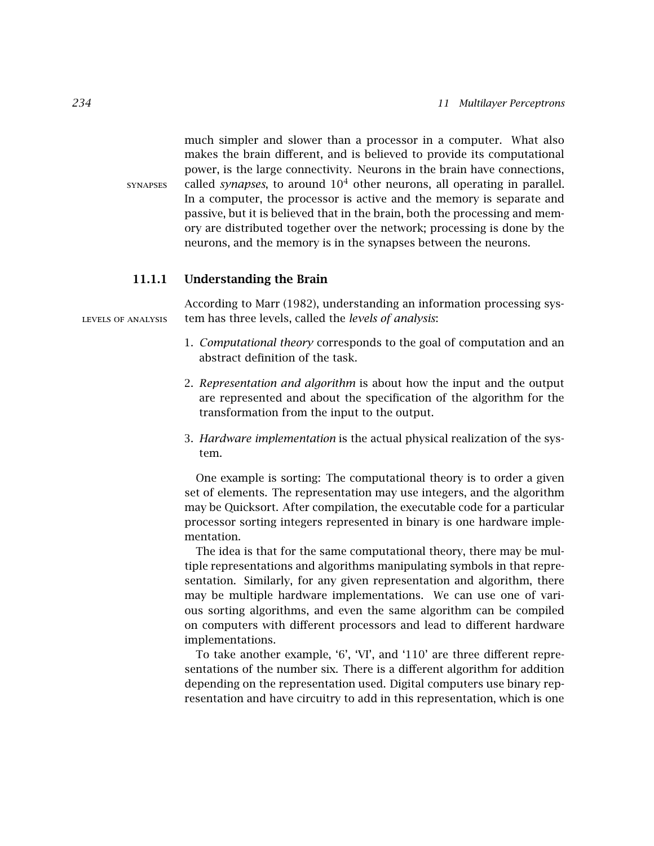much simpler and slower than a processor in a computer. What also makes the brain different, and is believed to provide its computational power, is the large connectivity. Neurons in the brain have connections,  $s_{\text{YNAPSES}}$  called *synapses*, to around  $10^4$  other neurons, all operating in parallel. In a computer, the processor is active and the memory is separate and passive, but it is believed that in the brain, both the processing and memory are distributed together over the network; processing is done by the neurons, and the memory is in the synapses between the neurons.

#### **11.1.1 Understanding the Brain**

According to Marr (1982), understanding an information processing syslevels of analysis tem has three levels, called the *levels of analysis*:

- 1. *Computational theory* corresponds to the goal of computation and an abstract definition of the task.
- 2. *Representation and algorithm* is about how the input and the output are represented and about the specification of the algorithm for the transformation from the input to the output.
- 3. *Hardware implementation* is the actual physical realization of the system.

One example is sorting: The computational theory is to order a given set of elements. The representation may use integers, and the algorithm may be Quicksort. After compilation, the executable code for a particular processor sorting integers represented in binary is one hardware implementation.

The idea is that for the same computational theory, there may be multiple representations and algorithms manipulating symbols in that representation. Similarly, for any given representation and algorithm, there may be multiple hardware implementations. We can use one of various sorting algorithms, and even the same algorithm can be compiled on computers with different processors and lead to different hardware implementations.

To take another example, '6', 'VI', and '110' are three different representations of the number six. There is a different algorithm for addition depending on the representation used. Digital computers use binary representation and have circuitry to add in this representation, which is one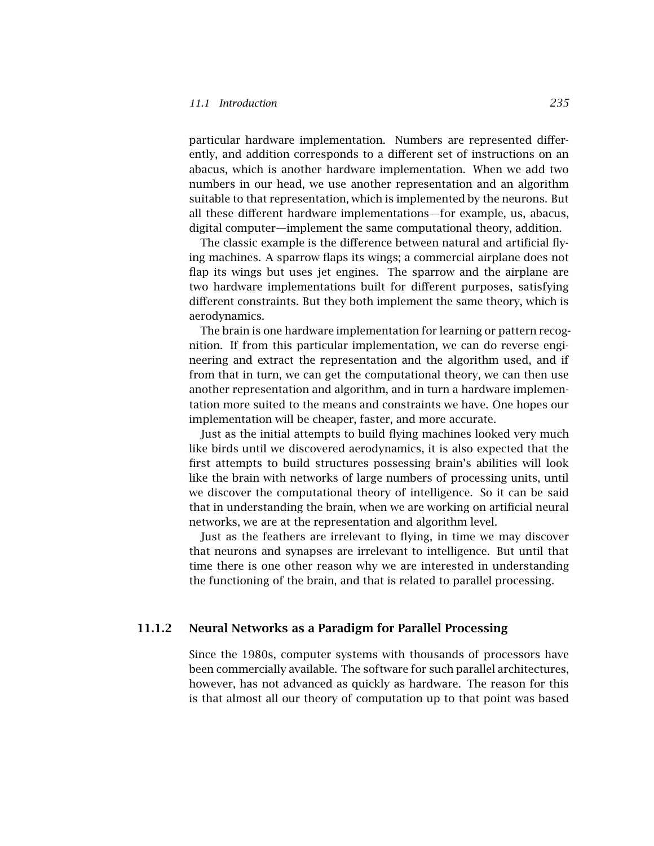particular hardware implementation. Numbers are represented differently, and addition corresponds to a different set of instructions on an abacus, which is another hardware implementation. When we add two numbers in our head, we use another representation and an algorithm suitable to that representation, which is implemented by the neurons. But all these different hardware implementations—for example, us, abacus, digital computer—implement the same computational theory, addition.

The classic example is the difference between natural and artificial flying machines. A sparrow flaps its wings; a commercial airplane does not flap its wings but uses jet engines. The sparrow and the airplane are two hardware implementations built for different purposes, satisfying different constraints. But they both implement the same theory, which is aerodynamics.

The brain is one hardware implementation for learning or pattern recognition. If from this particular implementation, we can do reverse engineering and extract the representation and the algorithm used, and if from that in turn, we can get the computational theory, we can then use another representation and algorithm, and in turn a hardware implementation more suited to the means and constraints we have. One hopes our implementation will be cheaper, faster, and more accurate.

Just as the initial attempts to build flying machines looked very much like birds until we discovered aerodynamics, it is also expected that the first attempts to build structures possessing brain's abilities will look like the brain with networks of large numbers of processing units, until we discover the computational theory of intelligence. So it can be said that in understanding the brain, when we are working on artificial neural networks, we are at the representation and algorithm level.

Just as the feathers are irrelevant to flying, in time we may discover that neurons and synapses are irrelevant to intelligence. But until that time there is one other reason why we are interested in understanding the functioning of the brain, and that is related to parallel processing.

## **11.1.2 Neural Networks as a Paradigm for Parallel Processing**

Since the 1980s, computer systems with thousands of processors have been commercially available. The software for such parallel architectures, however, has not advanced as quickly as hardware. The reason for this is that almost all our theory of computation up to that point was based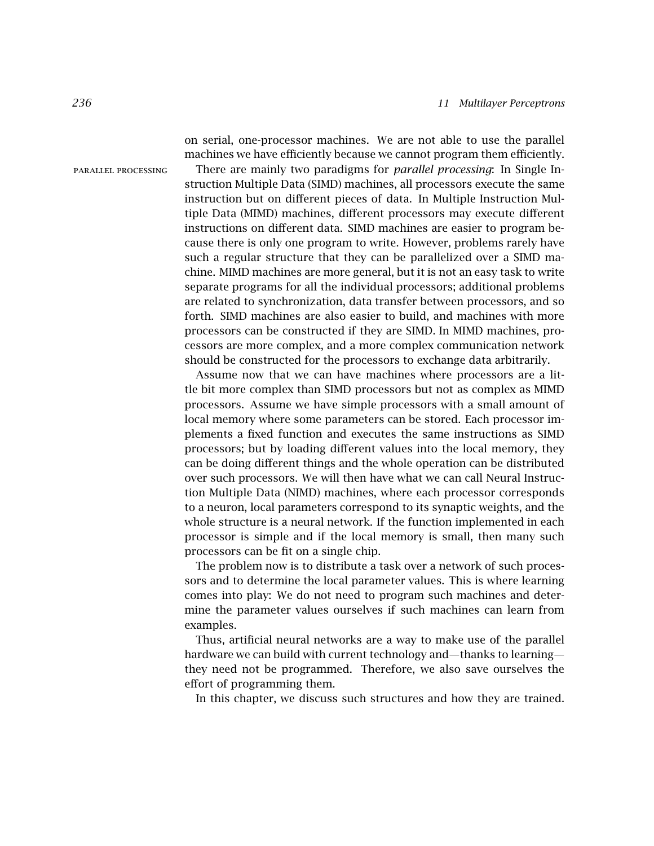on serial, one-processor machines. We are not able to use the parallel machines we have efficiently because we cannot program them efficiently.

parallel processing There are mainly two paradigms for *parallel processing*: In Single Instruction Multiple Data (SIMD) machines, all processors execute the same instruction but on different pieces of data. In Multiple Instruction Multiple Data (MIMD) machines, different processors may execute different instructions on different data. SIMD machines are easier to program because there is only one program to write. However, problems rarely have such a regular structure that they can be parallelized over a SIMD machine. MIMD machines are more general, but it is not an easy task to write separate programs for all the individual processors; additional problems are related to synchronization, data transfer between processors, and so forth. SIMD machines are also easier to build, and machines with more processors can be constructed if they are SIMD. In MIMD machines, processors are more complex, and a more complex communication network should be constructed for the processors to exchange data arbitrarily.

> Assume now that we can have machines where processors are a little bit more complex than SIMD processors but not as complex as MIMD processors. Assume we have simple processors with a small amount of local memory where some parameters can be stored. Each processor implements a fixed function and executes the same instructions as SIMD processors; but by loading different values into the local memory, they can be doing different things and the whole operation can be distributed over such processors. We will then have what we can call Neural Instruction Multiple Data (NIMD) machines, where each processor corresponds to a neuron, local parameters correspond to its synaptic weights, and the whole structure is a neural network. If the function implemented in each processor is simple and if the local memory is small, then many such processors can be fit on a single chip.

> The problem now is to distribute a task over a network of such processors and to determine the local parameter values. This is where learning comes into play: We do not need to program such machines and determine the parameter values ourselves if such machines can learn from examples.

> Thus, artificial neural networks are a way to make use of the parallel hardware we can build with current technology and—thanks to learning they need not be programmed. Therefore, we also save ourselves the effort of programming them.

In this chapter, we discuss such structures and how they are trained.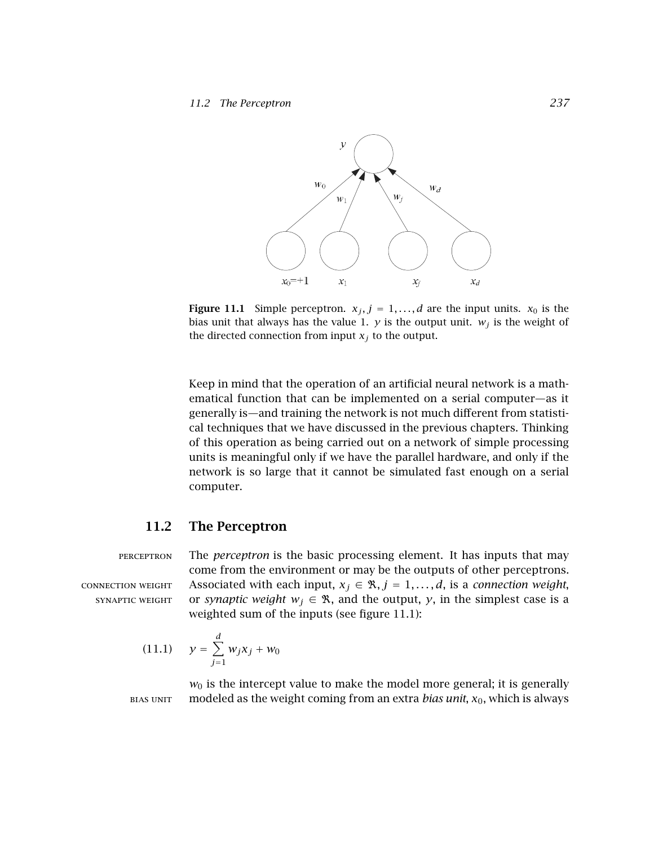

**Figure 11.1** Simple perceptron.  $x_j$ ,  $j = 1, ..., d$  are the input units.  $x_0$  is the bias unit that always has the value 1.  $y$  is the output unit.  $w_j$  is the weight of the directed connection from input  $x_j$  to the output.

Keep in mind that the operation of an artificial neural network is a mathematical function that can be implemented on a serial computer—as it generally is—and training the network is not much different from statistical techniques that we have discussed in the previous chapters. Thinking of this operation as being carried out on a network of simple processing units is meaningful only if we have the parallel hardware, and only if the network is so large that it cannot be simulated fast enough on a serial computer.

#### **11.2 The Perceptron**

perceptron The *perceptron* is the basic processing element. It has inputs that may come from the environment or may be the outputs of other perceptrons. connection weight Associated with each input,  $x_j \in \mathcal{R}, j = 1, \ldots, d$ , is a *connection weight*, synaptic weight or *synaptic weight*  $w_j \in \mathcal{R}$ , and the output, *y*, in the simplest case is a weighted sum of the inputs (see figure 11.1):

(11.1) 
$$
y = \sum_{j=1}^{d} w_j x_j + w_0
$$

 $w_0$  is the intercept value to make the model more general; it is generally bias unit modeled as the weight coming from an extra *bias unit*, *x*0, which is always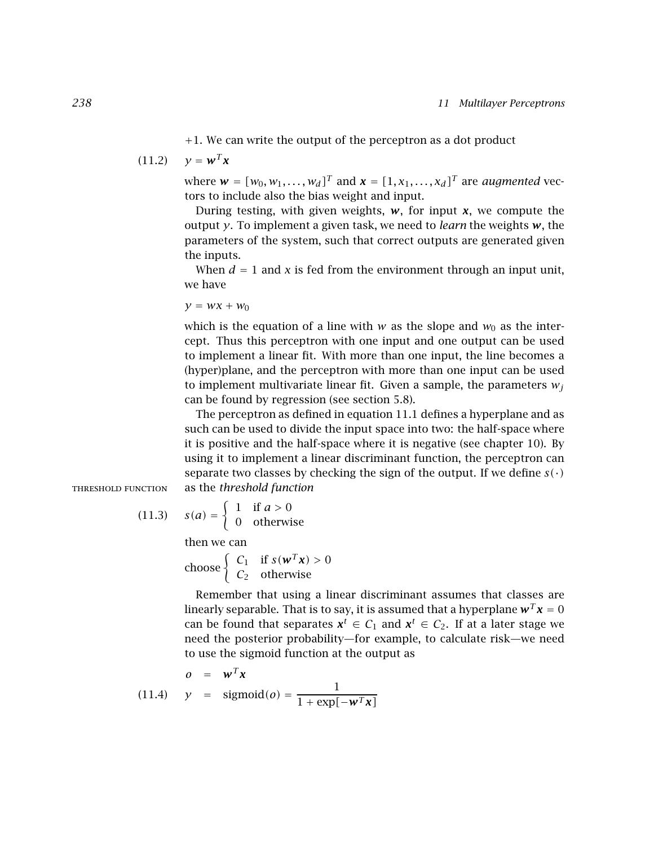+1. We can write the output of the perceptron as a dot product

$$
(11.2) \quad y = \mathbf{w}^T \mathbf{x}
$$

where  $w = [w_0, w_1, \ldots, w_d]^T$  and  $x = [1, x_1, \ldots, x_d]^T$  are *augmented* vectors to include also the bias weight and input.

During testing, with given weights, *w*, for input *x*, we compute the output *<sup>y</sup>*. To implement a given task, we need to *learn* the weights *w*, the parameters of the system, such that correct outputs are generated given the inputs.

When  $d = 1$  and x is fed from the environment through an input unit, we have

$$
y = wx + w_0
$$

which is the equation of a line with *w* as the slope and  $w_0$  as the intercept. Thus this perceptron with one input and one output can be used to implement a linear fit. With more than one input, the line becomes a (hyper)plane, and the perceptron with more than one input can be used to implement multivariate linear fit. Given a sample, the parameters  $w_i$ can be found by regression (see section 5.8).

The perceptron as defined in equation 11.1 defines a hyperplane and as such can be used to divide the input space into two: the half-space where it is positive and the half-space where it is negative (see chapter 10). By using it to implement a linear discriminant function, the perceptron can separate two classes by checking the sign of the output. If we define  $s(\cdot)$ threshold function as the *threshold function*

(11.3) 
$$
s(a) = \begin{cases} 1 & \text{if } a > 0 \\ 0 & \text{otherwise} \end{cases}
$$

then we can

choose  $\begin{cases} C_1 & \text{if } s(w^T x) > 0 \\ C_2 & \text{otherwise} \end{cases}$ 

Remember that using a linear discriminant assumes that classes are linearly separable. That is to say, it is assumed that a hyperplane  $w^T x = 0$ can be found that separates  $x^t \in C_1$  and  $x^t \in C_2$ . If at a later stage we need the posterior probability—for example, to calculate risk—we need to use the sigmoid function at the output as

$$
o = w^T x
$$
  
(11.4) 
$$
y = \text{sigmoid}(o) = \frac{1}{1 + \exp[-w^T x]}
$$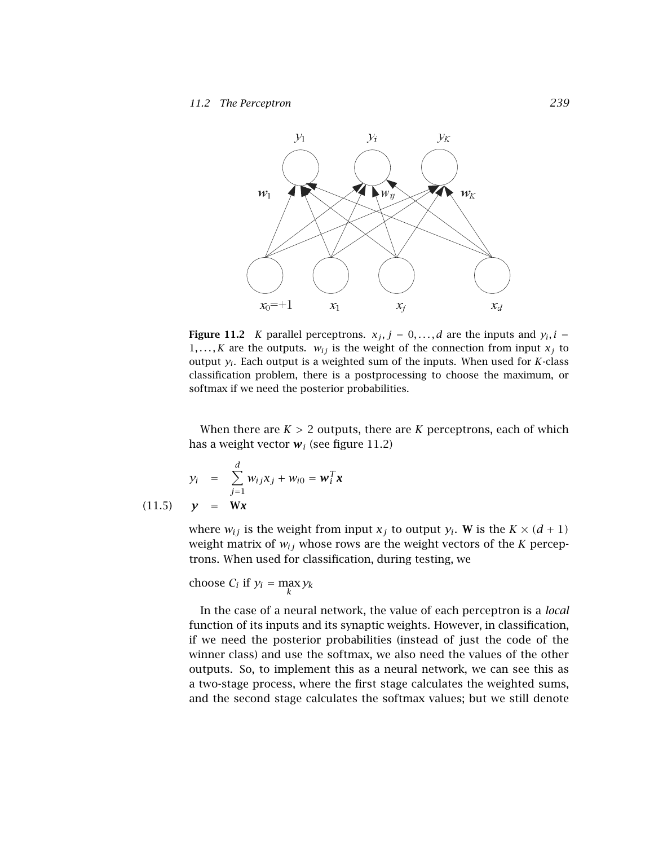

**Figure 11.2** *K* parallel perceptrons.  $x_j$ ,  $j = 0, ..., d$  are the inputs and  $y_i$ ,  $i =$ 1,..., *K* are the outputs.  $w_{ij}$  is the weight of the connection from input  $x_j$  to output *yi*. Each output is a weighted sum of the inputs. When used for *K*-class classification problem, there is a postprocessing to choose the maximum, or softmax if we need the posterior probabilities.

When there are  $K > 2$  outputs, there are  $K$  perceptrons, each of which has a weight vector  $w_i$  (see figure 11.2)

$$
y_i = \sum_{j=1}^d w_{ij} x_j + w_{i0} = \mathbf{w}_i^T \mathbf{x}
$$
  
(11.5) 
$$
\mathbf{y} = \mathbf{W} \mathbf{x}
$$

where  $w_{ij}$  is the weight from input  $x_j$  to output  $y_i$ . **W** is the  $K \times (d + 1)$ weight matrix of *wij* whose rows are the weight vectors of the *K* perceptrons. When used for classification, during testing, we

choose 
$$
C_i
$$
 if  $y_i = \max_k y_k$ 

In the case of a neural network, the value of each perceptron is a *local* function of its inputs and its synaptic weights. However, in classification, if we need the posterior probabilities (instead of just the code of the winner class) and use the softmax, we also need the values of the other outputs. So, to implement this as a neural network, we can see this as a two-stage process, where the first stage calculates the weighted sums, and the second stage calculates the softmax values; but we still denote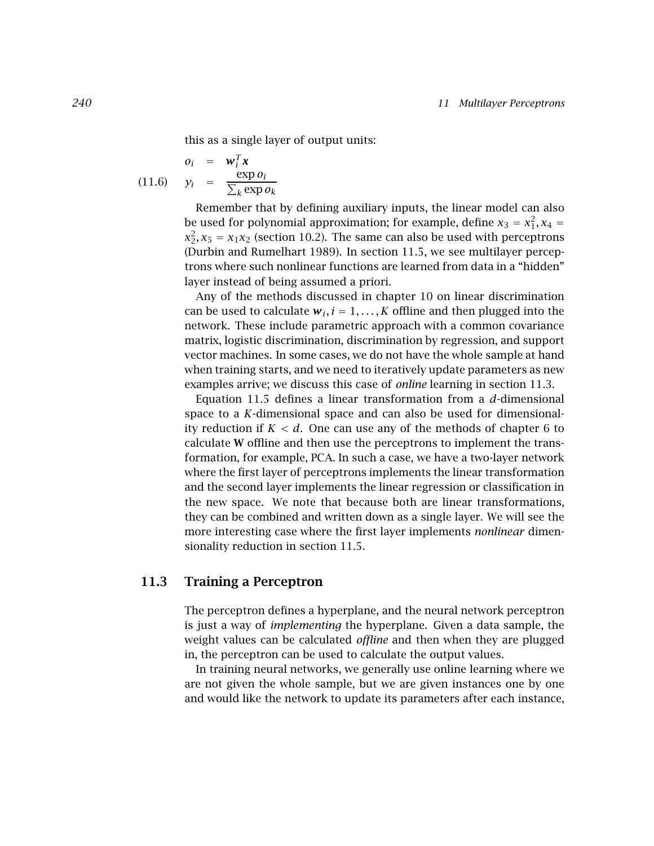this as a single layer of output units:

$$
o_i = \mathbf{w}_i^T \mathbf{x}
$$
  
(11.6) 
$$
y_i = \frac{\exp o_i}{\sum_k \exp o_k}
$$

Remember that by defining auxiliary inputs, the linear model can also be used for polynomial approximation; for example, define  $x_3 = x_1^2$ ,  $x_4 = x_2^2$  $x_2^2$ ,  $x_5 = x_1x_2$  (section 10.2). The same can also be used with perceptrons (Durbin and Rumelhart 1989). In section 11.5, we see multilayer perceptrons where such nonlinear functions are learned from data in a "hidden" layer instead of being assumed a priori.

Any of the methods discussed in chapter 10 on linear discrimination can be used to calculate  $w_i$ ,  $i = 1, ..., K$  offline and then plugged into the network. These include parametric approach with a common covariance matrix, logistic discrimination, discrimination by regression, and support vector machines. In some cases, we do not have the whole sample at hand when training starts, and we need to iteratively update parameters as new examples arrive; we discuss this case of *online* learning in section 11.3.

Equation 11.5 defines a linear transformation from a *d*-dimensional space to a *K*-dimensional space and can also be used for dimensionality reduction if  $K < d$ . One can use any of the methods of chapter 6 to calculate **W** offline and then use the perceptrons to implement the transformation, for example, PCA. In such a case, we have a two-layer network where the first layer of perceptrons implements the linear transformation and the second layer implements the linear regression or classification in the new space. We note that because both are linear transformations, they can be combined and written down as a single layer. We will see the more interesting case where the first layer implements *nonlinear* dimensionality reduction in section 11.5.

## **11.3 Training a Perceptron**

The perceptron defines a hyperplane, and the neural network perceptron is just a way of *implementing* the hyperplane. Given a data sample, the weight values can be calculated *offline* and then when they are plugged in, the perceptron can be used to calculate the output values.

In training neural networks, we generally use online learning where we are not given the whole sample, but we are given instances one by one and would like the network to update its parameters after each instance,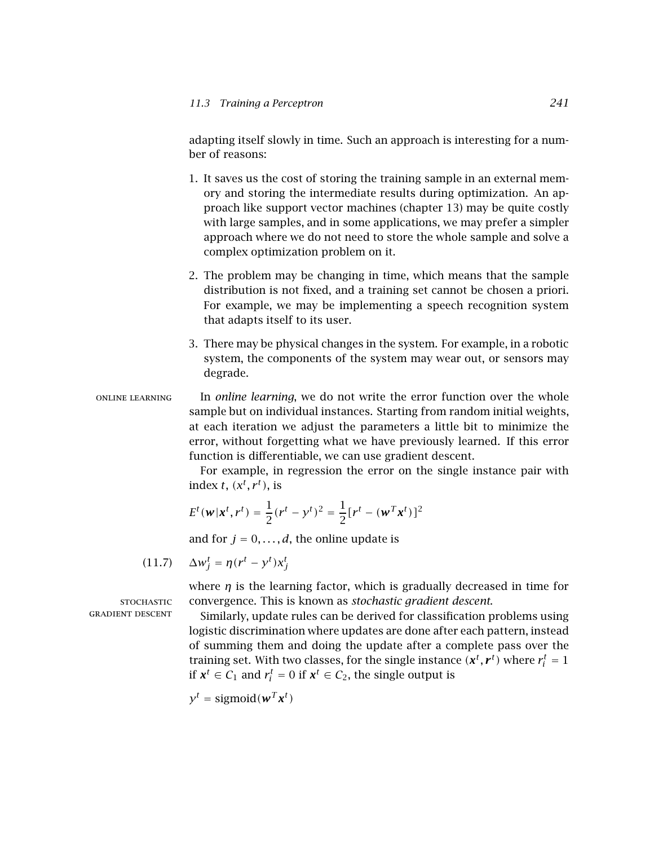adapting itself slowly in time. Such an approach is interesting for a number of reasons:

- 1. It saves us the cost of storing the training sample in an external memory and storing the intermediate results during optimization. An approach like support vector machines (chapter 13) may be quite costly with large samples, and in some applications, we may prefer a simpler approach where we do not need to store the whole sample and solve a complex optimization problem on it.
- 2. The problem may be changing in time, which means that the sample distribution is not fixed, and a training set cannot be chosen a priori. For example, we may be implementing a speech recognition system that adapts itself to its user.
- 3. There may be physical changes in the system. For example, in a robotic system, the components of the system may wear out, or sensors may degrade.
- online learning In *online learning*, we do not write the error function over the whole sample but on individual instances. Starting from random initial weights, at each iteration we adjust the parameters a little bit to minimize the error, without forgetting what we have previously learned. If this error function is differentiable, we can use gradient descent.

For example, in regression the error on the single instance pair with index *t*,  $(x^t, r^t)$ , is

$$
E^{t}(\mathbf{w}|\mathbf{x}^{t}, r^{t}) = \frac{1}{2}(r^{t} - y^{t})^{2} = \frac{1}{2}[r^{t} - (\mathbf{w}^{T}\mathbf{x}^{t})]^{2}
$$

and for  $j = 0, \ldots, d$ , the online update is

$$
(11.7) \quad \Delta w_j^t = \eta (r^t - y^t) x_j^t
$$

where *η* is the learning factor, which is gradually decreased in time for stochastic convergence. This is known as *stochastic gradient descent*.

gradient descent Similarly, update rules can be derived for classification problems using logistic discrimination where updates are done after each pattern, instead of summing them and doing the update after a complete pass over the training set. With two classes, for the single instance  $(x^t, r^t)$  where  $r_i^t = 1$ <br>if  $x^t \in C$ , and  $x^t = 0$  if  $x^t \in C$ , the single output is if  $x^t \in C_1$  and  $r_i^t = 0$  if  $x^t \in C_2$ , the single output is

$$
y^t = \text{sigmoid}(\mathbf{w}^T \mathbf{x}^t)
$$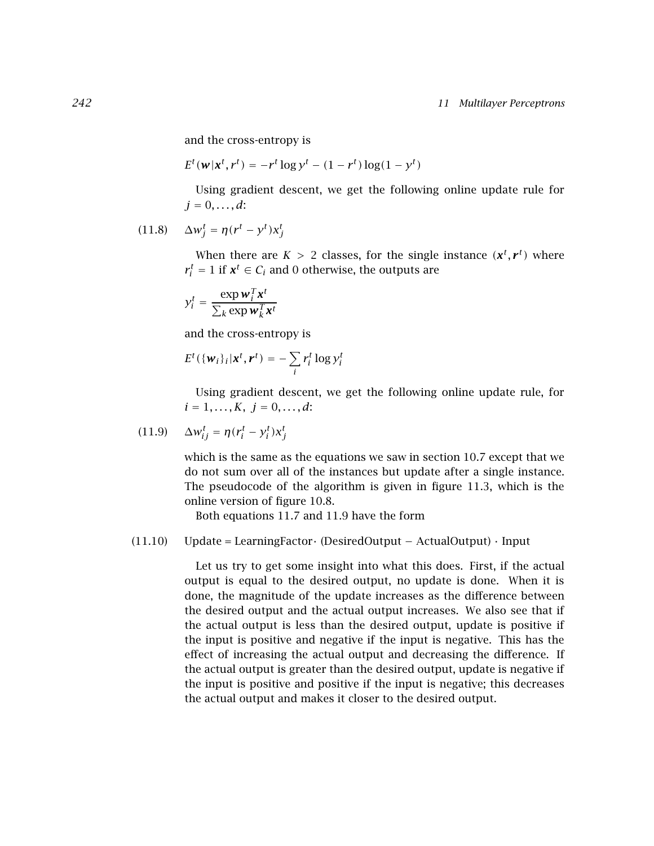and the cross-entropy is

$$
E^t(\mathbf{w}|\mathbf{x}^t, r^t) = -r^t \log y^t - (1 - r^t) \log(1 - y^t)
$$

Using gradient descent, we get the following online update rule for  $j = 0, ..., d$ :

$$
(11.8) \quad \Delta w_j^t = \eta (r^t - y^t) x_j^t
$$

When there are  $K > 2$  classes, for the single instance  $(x^t, r^t)$  where  $-1$  if  $y^t \in C$  and 0 otherwise, the outputs are  $r_i^t = 1$  if  $x^t \in C_i$  and 0 otherwise, the outputs are

$$
y_i^t = \frac{\exp \mathbf{w}_i^T \mathbf{x}^t}{\sum_k \exp \mathbf{w}_k^T \mathbf{x}^t}
$$

and the cross-entropy is

$$
E^t(\{\mathbf{w}_i\}_i|\mathbf{x}^t,\mathbf{r}^t)=-\sum_i r_i^t \log y_i^t
$$

Using gradient descent, we get the following online update rule, for  $i = 1, \ldots, K, \; j = 0, \ldots, d$ :

$$
(11.9) \quad \Delta w_{ij}^t = \eta (r_i^t - y_i^t) x_j^t
$$

which is the same as the equations we saw in section 10.7 except that we do not sum over all of the instances but update after a single instance. The pseudocode of the algorithm is given in figure 11.3, which is the online version of figure 10.8.

Both equations 11.7 and 11.9 have the form

#### (11.10) Update = LearningFactor· (DesiredOutput − ActualOutput) · Input

Let us try to get some insight into what this does. First, if the actual output is equal to the desired output, no update is done. When it is done, the magnitude of the update increases as the difference between the desired output and the actual output increases. We also see that if the actual output is less than the desired output, update is positive if the input is positive and negative if the input is negative. This has the effect of increasing the actual output and decreasing the difference. If the actual output is greater than the desired output, update is negative if the input is positive and positive if the input is negative; this decreases the actual output and makes it closer to the desired output.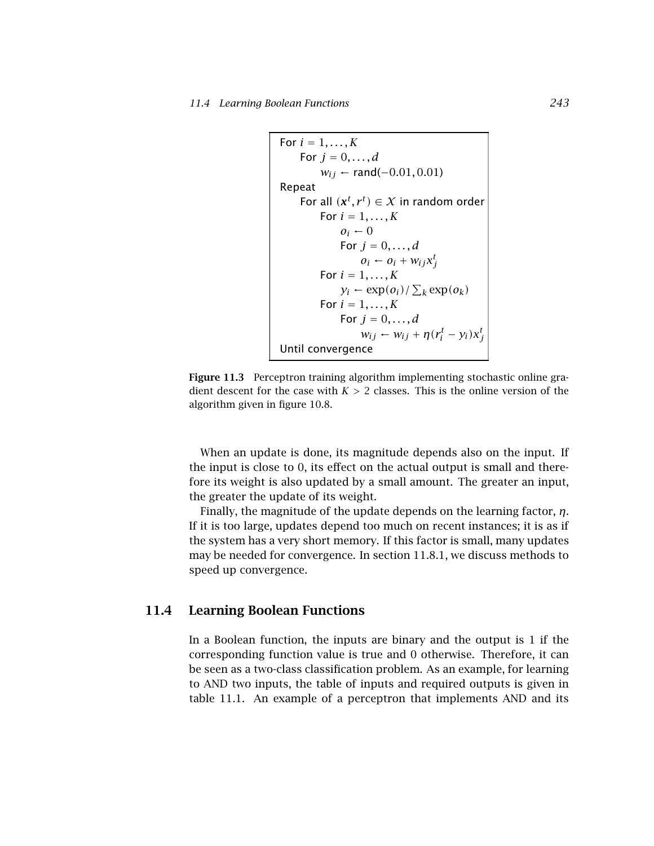```
For i = 1, ..., KFor j = 0, \ldots, dw<sub>ij</sub> ← rand(-0.01, 0.01)
Repeat
     For all (x^t, r^t) \in X in random order
          For i = 1, ..., Ko_i \leftarrow 0For j = 0, ..., do_i \leftarrow o_i + w_{ij} x_j^tFor i = 1, ..., Ky_i \leftarrow \exp(o_i) / \sum_k \exp(o_k)For i = 1, ..., KFor j = 0, \ldots, dw_{ij} \leftarrow w_{ij} + \eta (r_i^t - y_i) x_j^tUntil convergence
```


When an update is done, its magnitude depends also on the input. If the input is close to 0, its effect on the actual output is small and therefore its weight is also updated by a small amount. The greater an input, the greater the update of its weight.

Finally, the magnitude of the update depends on the learning factor, *η*. If it is too large, updates depend too much on recent instances; it is as if the system has a very short memory. If this factor is small, many updates may be needed for convergence. In section 11.8.1, we discuss methods to speed up convergence.

# **11.4 Learning Boolean Functions**

In a Boolean function, the inputs are binary and the output is 1 if the corresponding function value is true and 0 otherwise. Therefore, it can be seen as a two-class classification problem. As an example, for learning to AND two inputs, the table of inputs and required outputs is given in table 11.1. An example of a perceptron that implements AND and its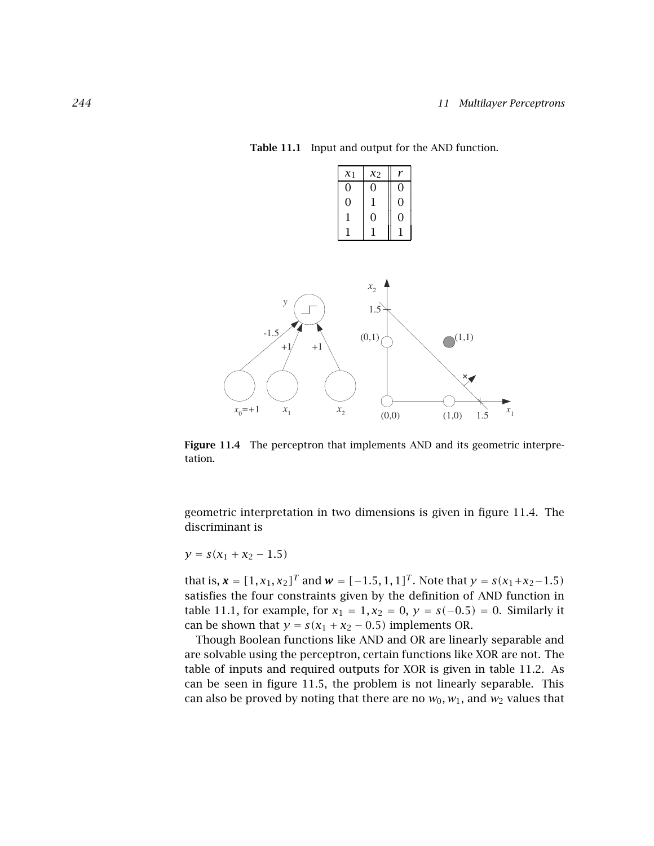**Table 11.1** Input and output for the AND function.

| $x_1$ | $x_2$ |                |
|-------|-------|----------------|
| 0     | 0     | 0              |
| 0     | 1     | $\overline{0}$ |
| I     | 0     | $\overline{0}$ |
|       |       |                |



**Figure 11.4** The perceptron that implements AND and its geometric interpretation.

geometric interpretation in two dimensions is given in figure 11.4. The discriminant is

 $y = s(x_1 + x_2 - 1.5)$ 

that is,  $\mathbf{x} = [1, x_1, x_2]^T$  and  $\mathbf{w} = [-1.5, 1, 1]^T$ . Note that  $y = s(x_1 + x_2 - 1.5)$ satisfies the four constraints given by the definition of AND function in table 11.1, for example, for  $x_1 = 1, x_2 = 0, y = s(-0.5) = 0$ . Similarly it can be shown that  $y = s(x_1 + x_2 - 0.5)$  implements OR.

Though Boolean functions like AND and OR are linearly separable and are solvable using the perceptron, certain functions like XOR are not. The table of inputs and required outputs for XOR is given in table 11.2. As can be seen in figure 11.5, the problem is not linearly separable. This can also be proved by noting that there are no  $w_0$ ,  $w_1$ , and  $w_2$  values that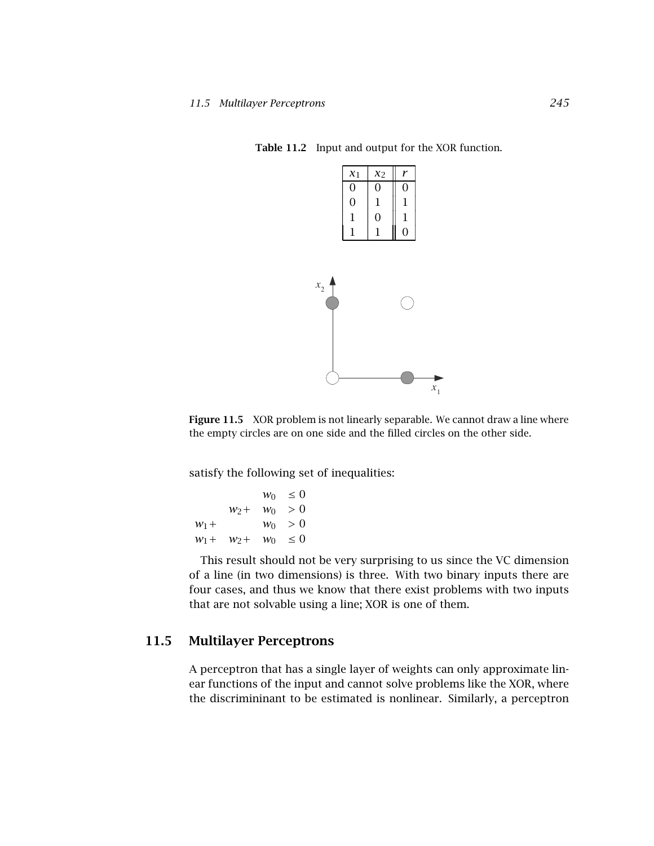**Table 11.2** Input and output for the XOR function.

| $x_1$ | $x_2$ |   |
|-------|-------|---|
| 0     | 0     | 0 |
| 0     | 1     | I |
| T     | 0     |   |
|       |       | ı |



**Figure 11.5** XOR problem is not linearly separable. We cannot draw a line where the empty circles are on one side and the filled circles on the other side.

satisfy the following set of inequalities:

$$
w_0 \le 0
$$
  
\n
$$
w_2 + w_0 > 0
$$
  
\n
$$
w_1 + w_2 + w_0 > 0
$$
  
\n
$$
w_0 \le 0
$$

This result should not be very surprising to us since the VC dimension of a line (in two dimensions) is three. With two binary inputs there are four cases, and thus we know that there exist problems with two inputs that are not solvable using a line; XOR is one of them.

## **11.5 Multilayer Perceptrons**

A perceptron that has a single layer of weights can only approximate linear functions of the input and cannot solve problems like the XOR, where the discrimininant to be estimated is nonlinear. Similarly, a perceptron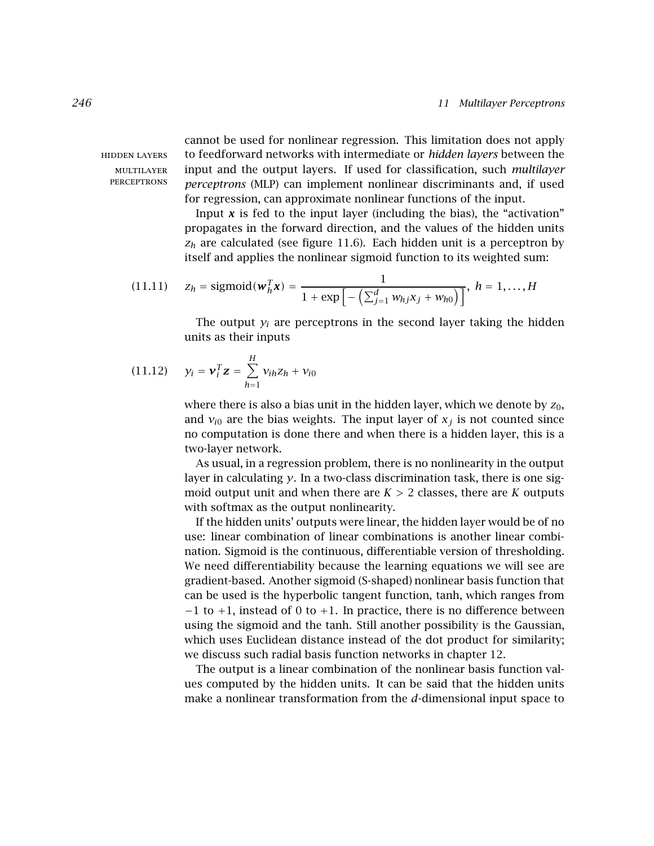cannot be used for nonlinear regression. This limitation does not apply hidden layers to feedforward networks with intermediate or *hidden layers* between the multilayer input and the output layers. If used for classification, such *multilayer* perceptrons *perceptrons* (MLP) can implement nonlinear discriminants and, if used for regression, can approximate nonlinear functions of the input.

> Input  $x$  is fed to the input layer (including the bias), the "activation" propagates in the forward direction, and the values of the hidden units  $z_h$  are calculated (see figure 11.6). Each hidden unit is a perceptron by itself and applies the nonlinear sigmoid function to its weighted sum:

$$
(11.11) \t zh = sigmoid(whTx) = \frac{1}{1 + exp\left[-\left(\sum_{j=1}^{d} w_{hj}x_j + w_{h0}\right)\right]}, \; h = 1, \ldots, H
$$

The output  $y_i$  are perceptrons in the second layer taking the hidden units as their inputs

(11.12) 
$$
y_i = v_i^T z = \sum_{h=1}^H v_{ih} z_h + v_{i0}
$$

where there is also a bias unit in the hidden layer, which we denote by  $z_0$ , and  $v_{i0}$  are the bias weights. The input layer of  $x_i$  is not counted since no computation is done there and when there is a hidden layer, this is a two-layer network.

As usual, in a regression problem, there is no nonlinearity in the output layer in calculating *y*. In a two-class discrimination task, there is one sigmoid output unit and when there are  $K > 2$  classes, there are *K* outputs with softmax as the output nonlinearity.

If the hidden units' outputs were linear, the hidden layer would be of no use: linear combination of linear combinations is another linear combination. Sigmoid is the continuous, differentiable version of thresholding. We need differentiability because the learning equations we will see are gradient-based. Another sigmoid (S-shaped) nonlinear basis function that can be used is the hyperbolic tangent function, tanh, which ranges from  $-1$  to +1, instead of 0 to +1. In practice, there is no difference between using the sigmoid and the tanh. Still another possibility is the Gaussian, which uses Euclidean distance instead of the dot product for similarity; we discuss such radial basis function networks in chapter 12.

The output is a linear combination of the nonlinear basis function values computed by the hidden units. It can be said that the hidden units make a nonlinear transformation from the *d*-dimensional input space to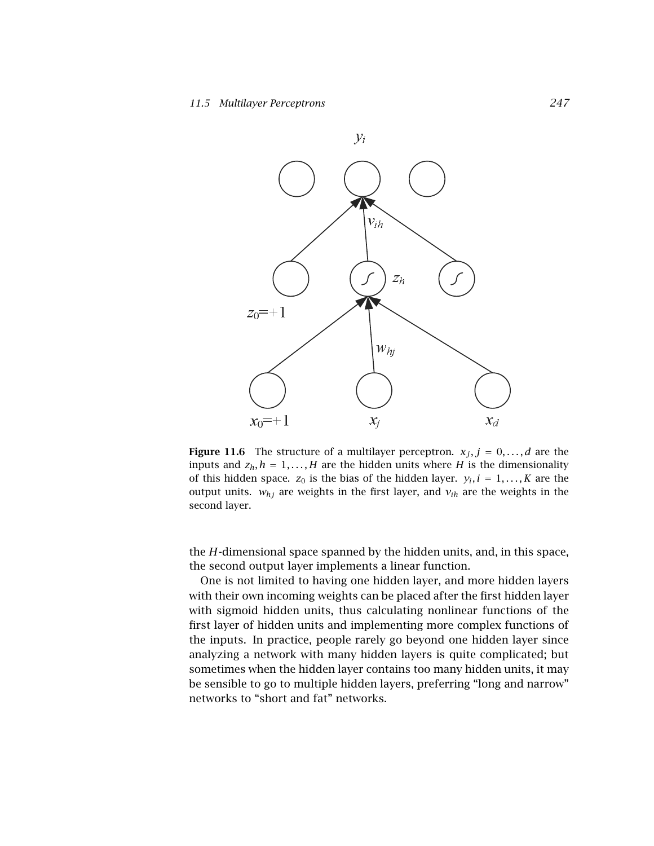

**Figure 11.6** The structure of a multilayer perceptron.  $x_j$ ,  $j = 0, \ldots, d$  are the inputs and  $z_h$ ,  $h = 1, \ldots, H$  are the hidden units where *H* is the dimensionality of this hidden space.  $z_0$  is the bias of the hidden layer.  $y_i$ ,  $i = 1, \ldots, K$  are the output units.  $w_{hj}$  are weights in the first layer, and  $v_{ih}$  are the weights in the second layer.

the *H*-dimensional space spanned by the hidden units, and, in this space, the second output layer implements a linear function.

One is not limited to having one hidden layer, and more hidden layers with their own incoming weights can be placed after the first hidden layer with sigmoid hidden units, thus calculating nonlinear functions of the first layer of hidden units and implementing more complex functions of the inputs. In practice, people rarely go beyond one hidden layer since analyzing a network with many hidden layers is quite complicated; but sometimes when the hidden layer contains too many hidden units, it may be sensible to go to multiple hidden layers, preferring "long and narrow" networks to "short and fat" networks.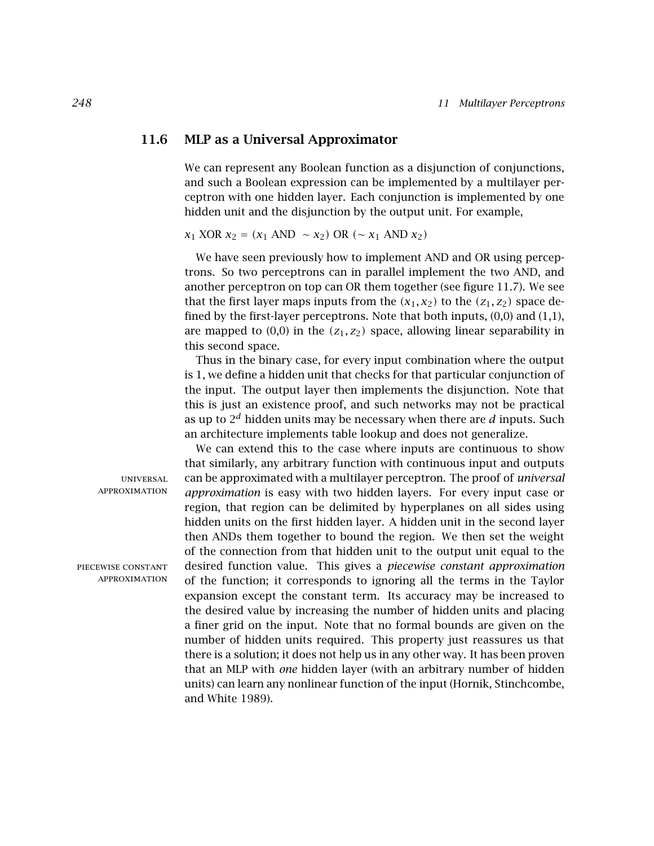## **11.6 MLP as a Universal Approximator**

We can represent any Boolean function as a disjunction of conjunctions, and such a Boolean expression can be implemented by a multilayer perceptron with one hidden layer. Each conjunction is implemented by one hidden unit and the disjunction by the output unit. For example,

*x*<sup>1</sup> XOR *x*<sup>2</sup> = *(x*<sup>1</sup> AND ∼ *x*2*)* OR *(*∼ *x*<sup>1</sup> AND *x*2*)*

We have seen previously how to implement AND and OR using perceptrons. So two perceptrons can in parallel implement the two AND, and another perceptron on top can OR them together (see figure 11.7). We see that the first layer maps inputs from the  $(x_1, x_2)$  to the  $(z_1, z_2)$  space defined by the first-layer perceptrons. Note that both inputs,  $(0,0)$  and  $(1,1)$ , are mapped to  $(0,0)$  in the  $(z_1, z_2)$  space, allowing linear separability in this second space.

Thus in the binary case, for every input combination where the output is 1, we define a hidden unit that checks for that particular conjunction of the input. The output layer then implements the disjunction. Note that this is just an existence proof, and such networks may not be practical as up to 2*<sup>d</sup>* hidden units may be necessary when there are *d* inputs. Such an architecture implements table lookup and does not generalize.

We can extend this to the case where inputs are continuous to show that similarly, any arbitrary function with continuous input and outputs universal can be approximated with a multilayer perceptron. The proof of *universal* approximation *approximation* is easy with two hidden layers. For every input case or region, that region can be delimited by hyperplanes on all sides using hidden units on the first hidden layer. A hidden unit in the second layer then ANDs them together to bound the region. We then set the weight of the connection from that hidden unit to the output unit equal to the piecewise constant desired function value. This gives a *piecewise constant approximation* approximation of the function; it corresponds to ignoring all the terms in the Taylor expansion except the constant term. Its accuracy may be increased to the desired value by increasing the number of hidden units and placing a finer grid on the input. Note that no formal bounds are given on the number of hidden units required. This property just reassures us that there is a solution; it does not help us in any other way. It has been proven that an MLP with *one* hidden layer (with an arbitrary number of hidden units) can learn any nonlinear function of the input (Hornik, Stinchcombe, and White 1989).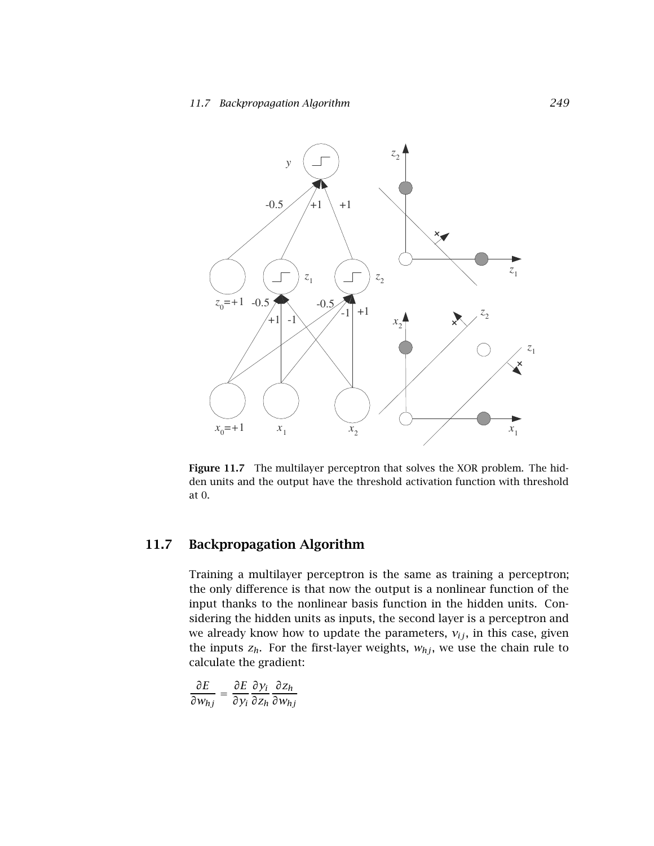

**Figure 11.7** The multilayer perceptron that solves the XOR problem. The hidden units and the output have the threshold activation function with threshold at 0.

# **11.7 Backpropagation Algorithm**

Training a multilayer perceptron is the same as training a perceptron; the only difference is that now the output is a nonlinear function of the input thanks to the nonlinear basis function in the hidden units. Considering the hidden units as inputs, the second layer is a perceptron and we already know how to update the parameters,  $v_{ij}$ , in this case, given the inputs  $z_h$ . For the first-layer weights,  $w_{hj}$ , we use the chain rule to calculate the gradient:

$$
\frac{\partial E}{\partial w_{hj}} = \frac{\partial E}{\partial y_i} \frac{\partial y_i}{\partial z_h} \frac{\partial z_h}{\partial w_{hj}}
$$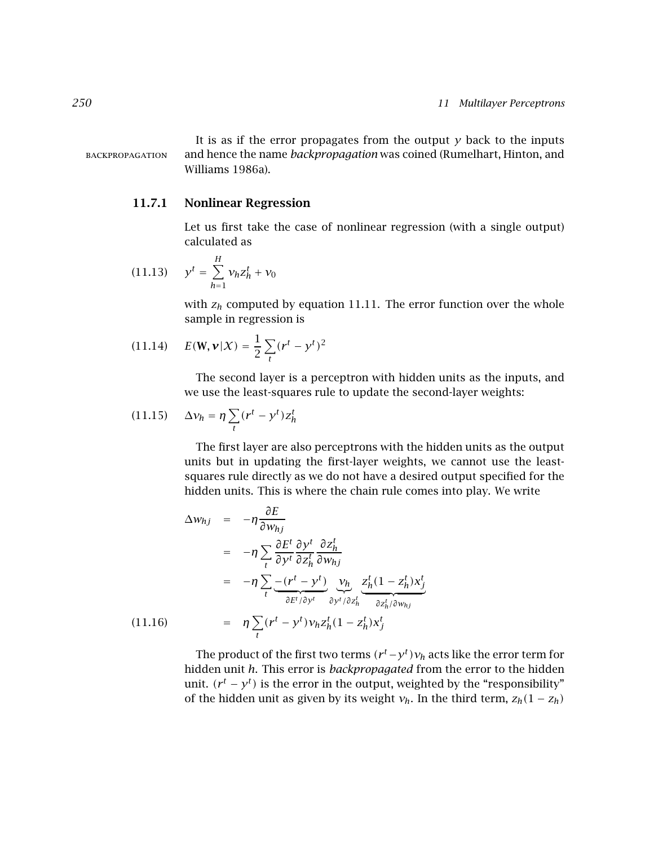It is as if the error propagates from the output *y* back to the inputs backpropagation and hence the name *backpropagation* was coined (Rumelhart, Hinton, and Williams 1986a).

#### **11.7.1 Nonlinear Regression**

 $\mathbf{r}$ 

Let us first take the case of nonlinear regression (with a single output) calculated as

$$
(11.13) \t yt = \sum_{h=1}^{H} v_h z_h^t + v_0
$$

with  $z_h$  computed by equation 11.11. The error function over the whole sample in regression is

$$
(11.14) \t E(W, v | X) = \frac{1}{2} \sum_{t} (r^t - y^t)^2
$$

The second layer is a perceptron with hidden units as the inputs, and we use the least-squares rule to update the second-layer weights:

$$
(11.15) \quad \Delta v_h = \eta \sum_t (r^t - y^t) z_h^t
$$

The first layer are also perceptrons with the hidden units as the output units but in updating the first-layer weights, we cannot use the leastsquares rule directly as we do not have a desired output specified for the hidden units. This is where the chain rule comes into play. We write

$$
\Delta w_{hj} = -\eta \frac{\partial E}{\partial w_{hj}} \n= -\eta \sum_{t} \frac{\partial E^{t}}{\partial y^{t}} \frac{\partial y^{t}}{\partial z_{h}^{t}} \frac{\partial z_{h}^{t}}{\partial w_{hj}} \n= -\eta \sum_{t} \frac{-(r^{t} - y^{t})}{\frac{\partial E^{t}}{\partial y^{t}} \frac{\partial y_{h}}{\partial y^{t}} \frac{z_{h}^{t}}{(1 - z_{h}^{t}) x_{j}^{t}} \n= \eta \sum_{t} (r^{t} - y^{t}) v_{h} z_{h}^{t} (1 - z_{h}^{t}) x_{j}^{t}
$$
\n(11.16)

The product of the first two terms  $(r<sup>t</sup> – y<sup>t</sup>)v<sub>h</sub>$  acts like the error term for hidden unit *h*. This error is *backpropagated* from the error to the hidden unit.  $(r^t - y^t)$  is the error in the output, weighted by the "responsibility" of the hidden unit as given by its weight  $v_h$ . In the third term,  $z_h(1 - z_h)$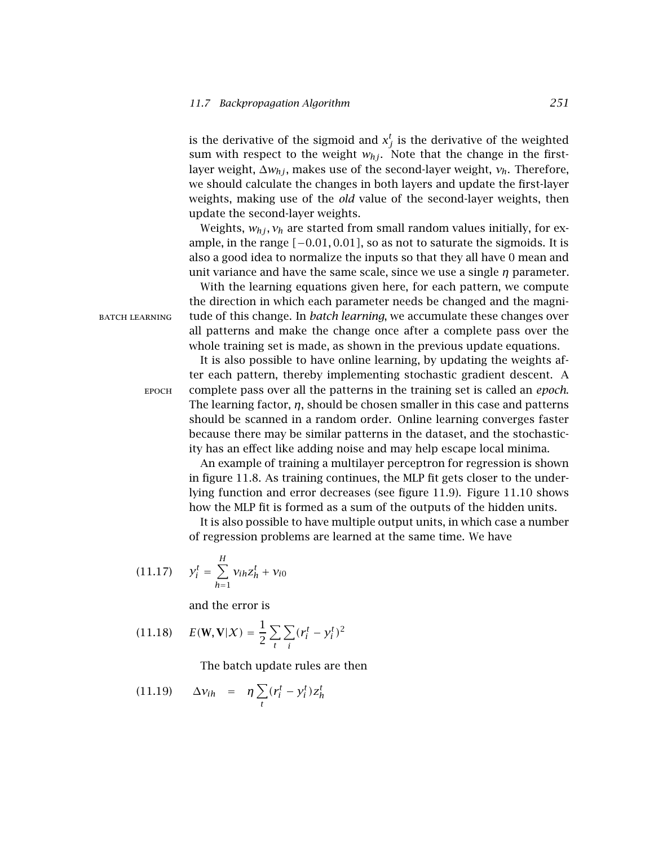is the derivative of the sigmoid and  $x_j^t$  is the derivative of the weighted sum with respect to the weight  $w_{hj}$ . Note that the change in the firstlayer weight,  $\Delta w_{hj}$ , makes use of the second-layer weight, *ν*<sub>h</sub>. Therefore, we should calculate the changes in both layers and update the first-layer weights, making use of the *old* value of the second-layer weights, then update the second-layer weights.

Weights,  $w_{hj}$ ,  $v_h$  are started from small random values initially, for example, in the range *[*−0*.*01*,* 0*.*01*]*, so as not to saturate the sigmoids. It is also a good idea to normalize the inputs so that they all have 0 mean and unit variance and have the same scale, since we use a single *η* parameter.

With the learning equations given here, for each pattern, we compute the direction in which each parameter needs be changed and the magnibatch learning tude of this change. In *batch learning*, we accumulate these changes over all patterns and make the change once after a complete pass over the whole training set is made, as shown in the previous update equations.

It is also possible to have online learning, by updating the weights after each pattern, thereby implementing stochastic gradient descent. A epoch complete pass over all the patterns in the training set is called an *epoch*. The learning factor, *η*, should be chosen smaller in this case and patterns should be scanned in a random order. Online learning converges faster because there may be similar patterns in the dataset, and the stochasticity has an effect like adding noise and may help escape local minima.

> An example of training a multilayer perceptron for regression is shown in figure 11.8. As training continues, the MLP fit gets closer to the underlying function and error decreases (see figure 11.9). Figure 11.10 shows how the MLP fit is formed as a sum of the outputs of the hidden units.

> It is also possible to have multiple output units, in which case a number of regression problems are learned at the same time. We have

$$
(11.17) \t y_i^t = \sum_{h=1}^H v_{ih} z_h^t + v_{i0}
$$

and the error is

(11.18) 
$$
E(\mathbf{W}, \mathbf{V} | \mathcal{X}) = \frac{1}{2} \sum_{t} \sum_{i} (r_i^t - y_i^t)^2
$$

The batch update rules are then

$$
(11.19) \qquad \Delta v_{ih} = \eta \sum_{t} (r_i^t - y_i^t) z_h^t
$$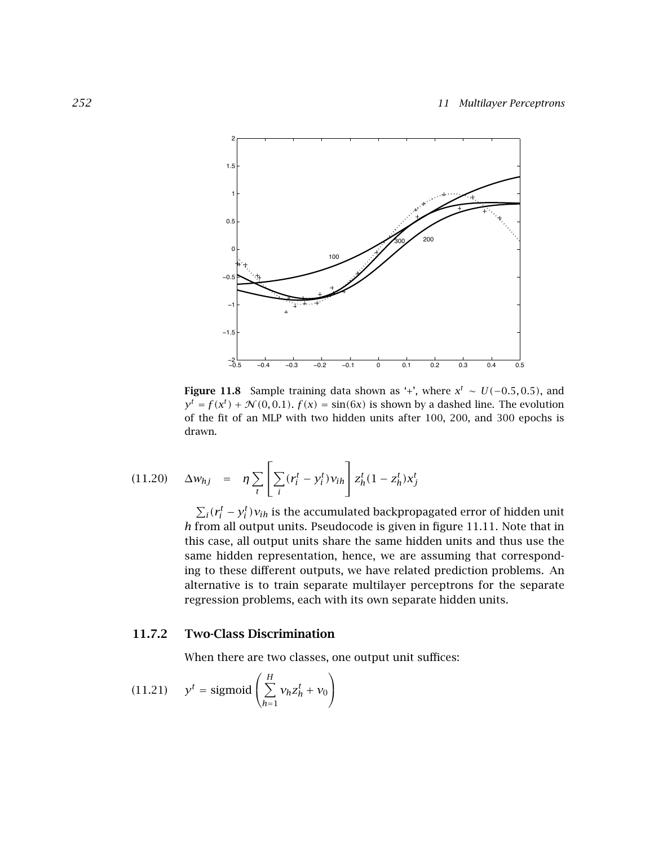

**Figure 11.8** Sample training data shown as '+', where  $x^t$  ∼  $U(-0.5, 0.5)$ , and  $y^t = f(x^t) + \mathcal{N}(0, 0.1)$ .  $f(x) = \sin(6x)$  is shown by a dashed line. The evolution of the fit of an MLP with two hidden units after 100, 200, and 300 epochs is drawn.

$$
(11.20) \quad \Delta w_{hj} = \eta \sum_{t} \left[ \sum_{i} (r_i^t - y_i^t) v_{ih} \right] z_h^t (1 - z_h^t) x_j^t
$$

 $\sum_i (r_i^t - y_i^t)v_{ih}$  is the accumulated backpropagated error of hidden unit *h* from all output units. Pseudocode is given in figure 11.11. Note that in this case, all output units share the same hidden units and thus use the same hidden representation, hence, we are assuming that corresponding to these different outputs, we have related prediction problems. An alternative is to train separate multilayer perceptrons for the separate regression problems, each with its own separate hidden units.

## **11.7.2 Two-Class Discrimination**

When there are two classes, one output unit suffices:

(11.21) 
$$
y^t = \text{sigmoid}\left(\sum_{h=1}^H v_h z_h^t + v_0\right)
$$

 $\overline{a}$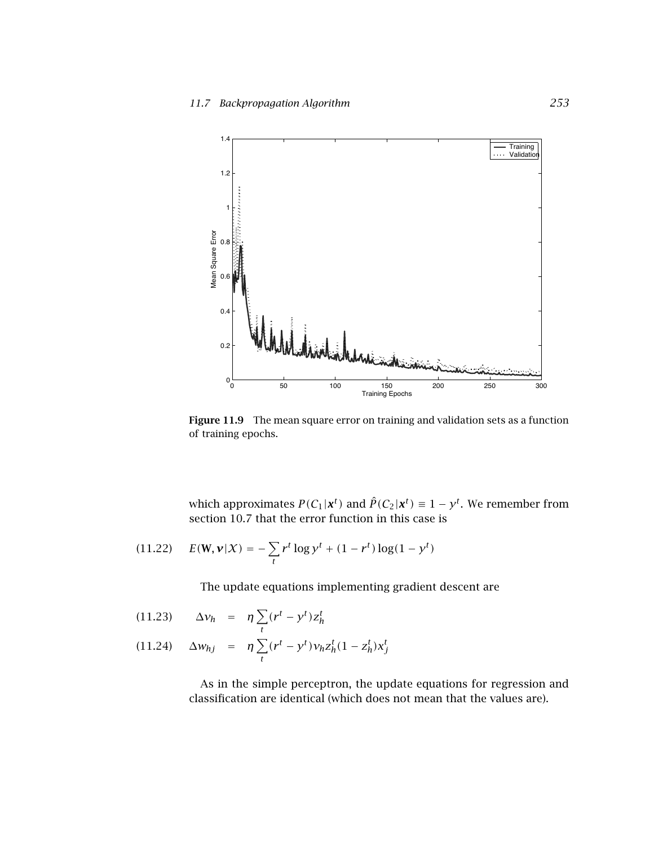

**Figure 11.9** The mean square error on training and validation sets as a function of training epochs.

which approximates  $P(C_1|\mathbf{x}^t)$  and  $\hat{P}(C_2|\mathbf{x}^t) \equiv 1 - y^t$ . We remember from section 10.7 that the error function in this case is

(11.22) 
$$
E(\mathbf{W}, \mathbf{v} | \mathcal{X}) = -\sum_{t} r^{t} \log y^{t} + (1 - r^{t}) \log(1 - y^{t})
$$

The update equations implementing gradient descent are

(11.23) 
$$
\Delta v_h = \eta \sum_t (r^t - y^t) z_h^t
$$
  
(11.24) 
$$
\Delta w_{hj} = \eta \sum_t (r^t - y^t) v_h z_h^t (1 - z_h^t) x_j^t
$$

As in the simple perceptron, the update equations for regression and classification are identical (which does not mean that the values are).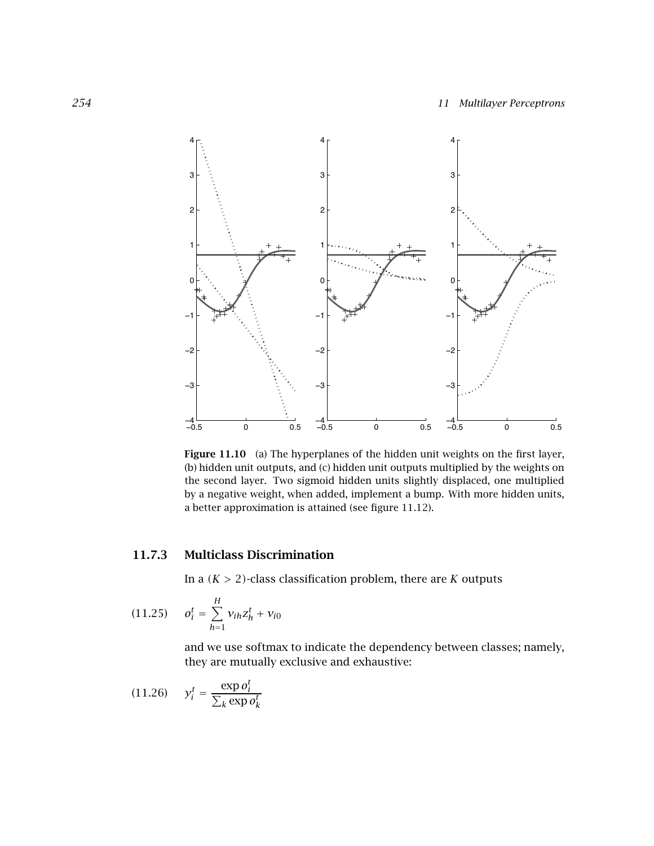

**Figure 11.10** (a) The hyperplanes of the hidden unit weights on the first layer, (b) hidden unit outputs, and (c) hidden unit outputs multiplied by the weights on the second layer. Two sigmoid hidden units slightly displaced, one multiplied by a negative weight, when added, implement a bump. With more hidden units, a better approximation is attained (see figure 11.12).

# **11.7.3 Multiclass Discrimination**

In a  $(K > 2)$ -class classification problem, there are *K* outputs

$$
(11.25) \t o_i^t = \sum_{h=1}^H v_{ih} z_h^t + v_{i0}
$$

and we use softmax to indicate the dependency between classes; namely, they are mutually exclusive and exhaustive:

$$
(11.26) \qquad y_i^t = \frac{\exp o_i^t}{\sum_k \exp o_k^t}
$$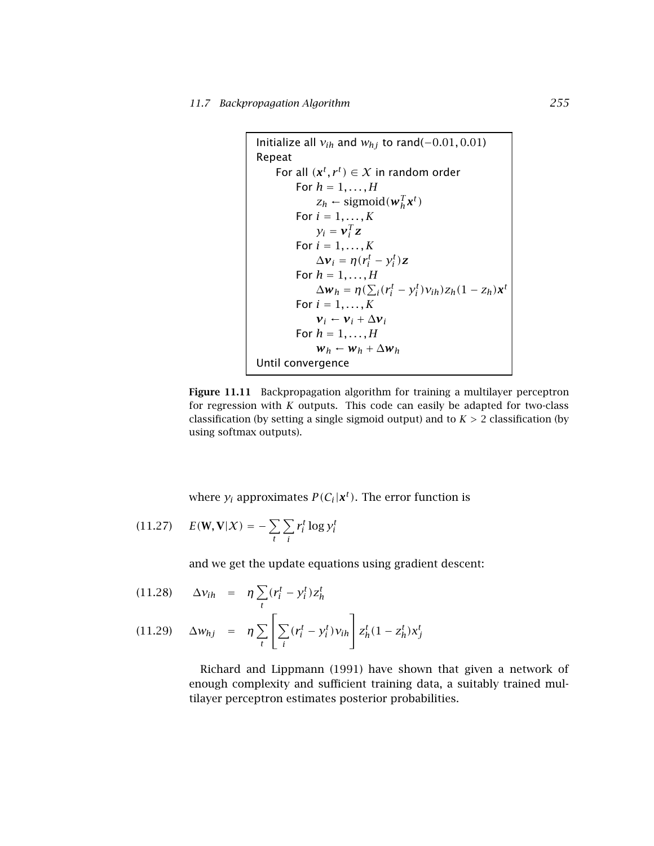```
Initialize all v_{ih} and w_{hj} to rand(-0.01, 0.01)
Repeat
     For all (x^t, r^t) \in X in random order
          For h = 1, \ldots, Hz_h \leftarrow sigmoid(w_h^T x^t)For i = 1, \ldots, Ky_i = v_i^T zy_i - v_i z<br>For i = 1, ..., K\Delta v_i = \eta (r_i^t - y_i^t) z_iFor h = 1, \ldots, H\Delta w_h = \eta (\sum_i (r_i^t - y_i^t) v_{ih}) z_h (1 - z_h) x^tFor i = 1, \ldots, Kv_i \leftarrow v_i + \Delta v_iFor h = 1, ..., Hw_h \leftarrow w_h + \Delta w_hUntil convergence
```
**Figure 11.11** Backpropagation algorithm for training a multilayer perceptron for regression with *K* outputs. This code can easily be adapted for two-class classification (by setting a single sigmoid output) and to *K >* 2 classification (by using softmax outputs).

where  $y_i$  approximates  $P(C_i|\boldsymbol{x}^t)$ . The error function is

$$
(11.27) \quad E(\mathbf{W}, \mathbf{V} | \mathcal{X}) = -\sum_{t} \sum_{i} r_i^t \log y_i^t
$$

and we get the update equations using gradient descent:

(11.28) 
$$
\Delta v_{ih} = \eta \sum_{t} (r_i^t - y_i^t) z_h^t
$$
  
(11.29) 
$$
\Delta w_{hj} = \eta \sum_{t} \left[ \sum_{i} (r_i^t - y_i^t) v_{ih} \right] z_h^t (1 - z_h^t) x_j^t
$$

Richard and Lippmann (1991) have shown that given a network of enough complexity and sufficient training data, a suitably trained multilayer perceptron estimates posterior probabilities.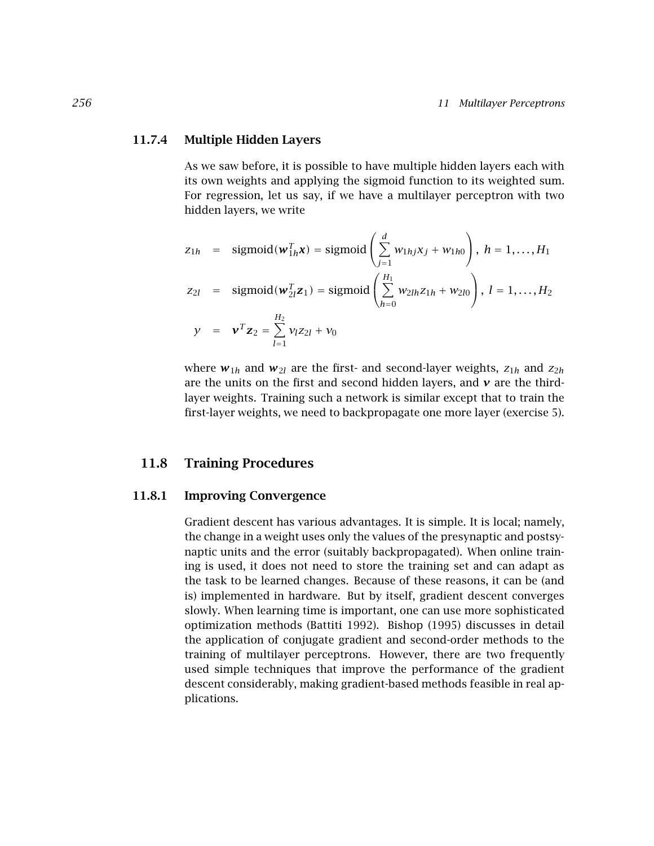## **11.7.4 Multiple Hidden Layers**

As we saw before, it is possible to have multiple hidden layers each with its own weights and applying the sigmoid function to its weighted sum. For regression, let us say, if we have a multilayer perceptron with two hidden layers, we write

$$
z_{1h} = \text{sigmoid}(w_{1h}^T \mathbf{x}) = \text{sigmoid}\left(\sum_{j=1}^d w_{1hj} x_j + w_{1h0}\right), h = 1, ..., H_1
$$
  

$$
z_{2l} = \text{sigmoid}(w_{2l}^T \mathbf{z}_1) = \text{sigmoid}\left(\sum_{h=0}^{H_1} w_{2lh} z_{1h} + w_{2l0}\right), l = 1, ..., H_2
$$
  

$$
y = \mathbf{v}^T \mathbf{z}_2 = \sum_{l=1}^{H_2} v_l z_{2l} + v_0
$$

where  $w_{1h}$  and  $w_{2l}$  are the first- and second-layer weights,  $z_{1h}$  and  $z_{2h}$ are the units on the first and second hidden layers, and *v* are the thirdlayer weights. Training such a network is similar except that to train the first-layer weights, we need to backpropagate one more layer (exercise 5).

## **11.8 Training Procedures**

## **11.8.1 Improving Convergence**

Gradient descent has various advantages. It is simple. It is local; namely, the change in a weight uses only the values of the presynaptic and postsynaptic units and the error (suitably backpropagated). When online training is used, it does not need to store the training set and can adapt as the task to be learned changes. Because of these reasons, it can be (and is) implemented in hardware. But by itself, gradient descent converges slowly. When learning time is important, one can use more sophisticated optimization methods (Battiti 1992). Bishop (1995) discusses in detail the application of conjugate gradient and second-order methods to the training of multilayer perceptrons. However, there are two frequently used simple techniques that improve the performance of the gradient descent considerably, making gradient-based methods feasible in real applications.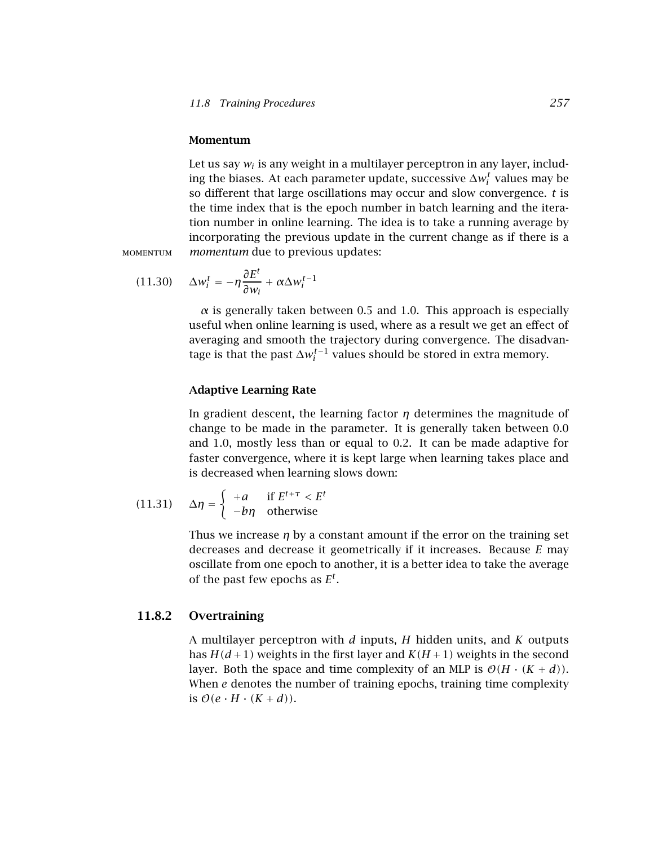#### **Momentum**

Let us say  $w_i$  is any weight in a multilayer perceptron in any layer, including the biases. At each parameter update, successive  $\Delta w^t_i$  values may be so different that large oscillations may occur and slow convergence. *t* is the time index that is the epoch number in batch learning and the iteration number in online learning. The idea is to take a running average by incorporating the previous update in the current change as if there is a momentum *momentum* due to previous updates:

$$
(11.30) \quad \Delta w_i^t = -\eta \frac{\partial E^t}{\partial w_i} + \alpha \Delta w_i^{t-1}
$$

 $\alpha$  is generally taken between 0.5 and 1.0. This approach is especially useful when online learning is used, where as a result we get an effect of averaging and smooth the trajectory during convergence. The disadvantage is that the past  $\Delta w^{t-1}_i$  values should be stored in extra memory.

## **Adaptive Learning Rate**

In gradient descent, the learning factor *η* determines the magnitude of change to be made in the parameter. It is generally taken between 0.0 and 1.0, mostly less than or equal to 0.2. It can be made adaptive for faster convergence, where it is kept large when learning takes place and is decreased when learning slows down:

(11.31) 
$$
\Delta \eta = \begin{cases} +a & \text{if } E^{t+\tau} < E^t \\ -b\eta & \text{otherwise} \end{cases}
$$

Thus we increase *η* by a constant amount if the error on the training set decreases and decrease it geometrically if it increases. Because *E* may oscillate from one epoch to another, it is a better idea to take the average of the past few epochs as *Et*.

## **11.8.2 Overtraining**

A multilayer perceptron with *d* inputs, *H* hidden units, and *K* outputs has  $H(d+1)$  weights in the first layer and  $K(H+1)$  weights in the second layer. Both the space and time complexity of an MLP is  $O(H \cdot (K + d))$ . When *e* denotes the number of training epochs, training time complexity is  $\mathcal{O}(e \cdot H \cdot (K + d)).$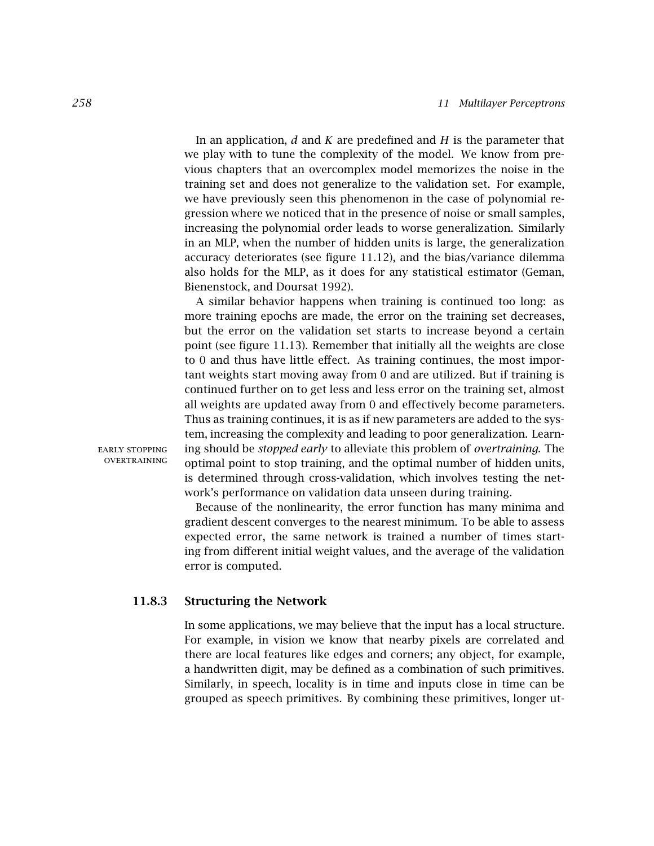In an application, *d* and *K* are predefined and *H* is the parameter that we play with to tune the complexity of the model. We know from previous chapters that an overcomplex model memorizes the noise in the training set and does not generalize to the validation set. For example, we have previously seen this phenomenon in the case of polynomial regression where we noticed that in the presence of noise or small samples, increasing the polynomial order leads to worse generalization. Similarly in an MLP, when the number of hidden units is large, the generalization accuracy deteriorates (see figure 11.12), and the bias/variance dilemma also holds for the MLP, as it does for any statistical estimator (Geman, Bienenstock, and Doursat 1992).

A similar behavior happens when training is continued too long: as more training epochs are made, the error on the training set decreases, but the error on the validation set starts to increase beyond a certain point (see figure 11.13). Remember that initially all the weights are close to 0 and thus have little effect. As training continues, the most important weights start moving away from 0 and are utilized. But if training is continued further on to get less and less error on the training set, almost all weights are updated away from 0 and effectively become parameters. Thus as training continues, it is as if new parameters are added to the system, increasing the complexity and leading to poor generalization. Learnearly stopping ing should be *stopped early* to alleviate this problem of *overtraining*. The optimal point to stop training, and the optimal number of hidden units, is determined through cross-validation, which involves testing the network's performance on validation data unseen during training.

Because of the nonlinearity, the error function has many minima and gradient descent converges to the nearest minimum. To be able to assess expected error, the same network is trained a number of times starting from different initial weight values, and the average of the validation error is computed.

## **11.8.3 Structuring the Network**

In some applications, we may believe that the input has a local structure. For example, in vision we know that nearby pixels are correlated and there are local features like edges and corners; any object, for example, a handwritten digit, may be defined as a combination of such primitives. Similarly, in speech, locality is in time and inputs close in time can be grouped as speech primitives. By combining these primitives, longer ut-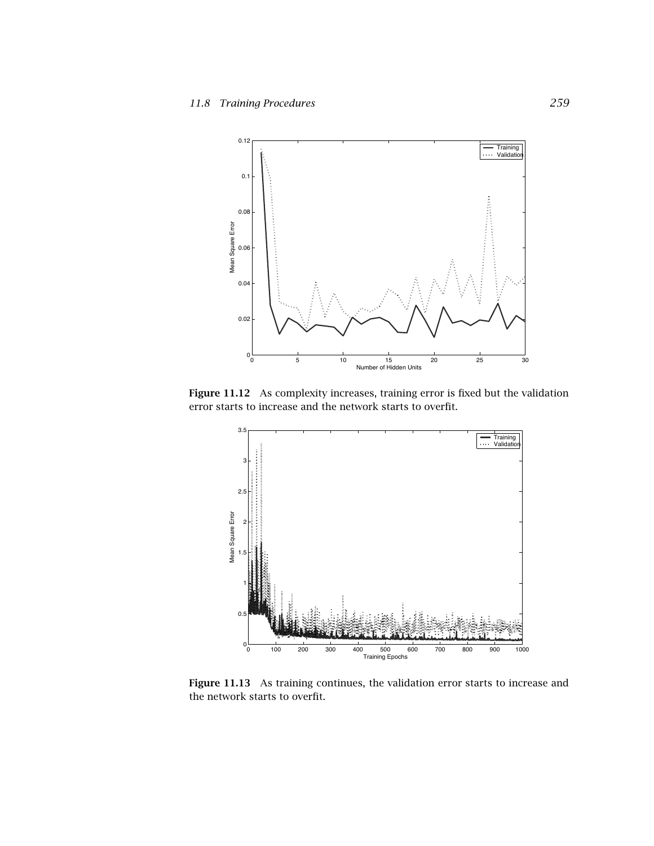

**Figure 11.12** As complexity increases, training error is fixed but the validation error starts to increase and the network starts to overfit.



Figure 11.13 As training continues, the validation error starts to increase and the network starts to overfit.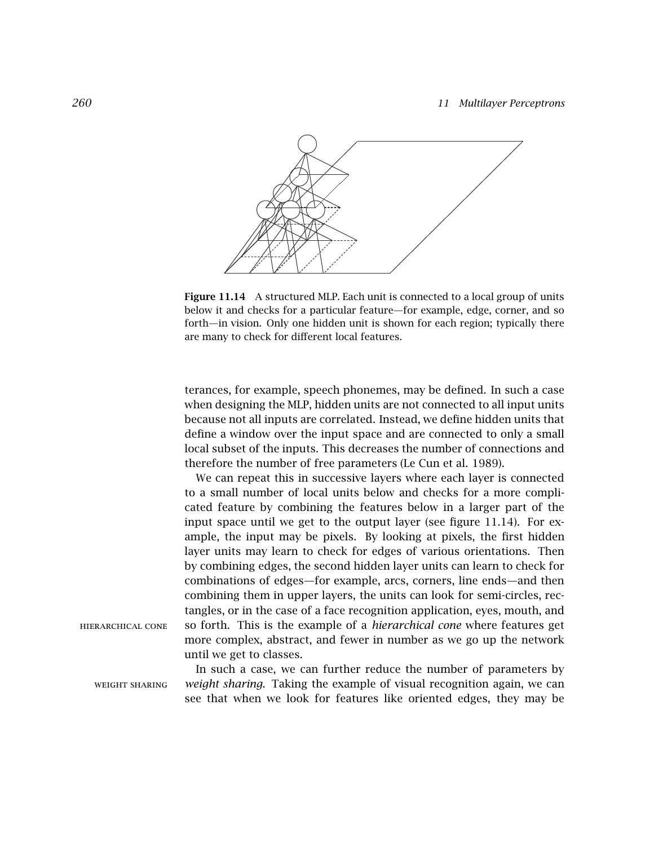#### *260 11 Multilayer Perceptrons*



**Figure 11.14** A structured MLP. Each unit is connected to a local group of units below it and checks for a particular feature—for example, edge, corner, and so forth—in vision. Only one hidden unit is shown for each region; typically there are many to check for different local features.

terances, for example, speech phonemes, may be defined. In such a case when designing the MLP, hidden units are not connected to all input units because not all inputs are correlated. Instead, we define hidden units that define a window over the input space and are connected to only a small local subset of the inputs. This decreases the number of connections and therefore the number of free parameters (Le Cun et al. 1989).

We can repeat this in successive layers where each layer is connected to a small number of local units below and checks for a more complicated feature by combining the features below in a larger part of the input space until we get to the output layer (see figure 11.14). For example, the input may be pixels. By looking at pixels, the first hidden layer units may learn to check for edges of various orientations. Then by combining edges, the second hidden layer units can learn to check for combinations of edges—for example, arcs, corners, line ends—and then combining them in upper layers, the units can look for semi-circles, rectangles, or in the case of a face recognition application, eyes, mouth, and hierarchical cone so forth. This is the example of a *hierarchical cone* where features get more complex, abstract, and fewer in number as we go up the network until we get to classes.

In such a case, we can further reduce the number of parameters by weight sharing *weight sharing*. Taking the example of visual recognition again, we can see that when we look for features like oriented edges, they may be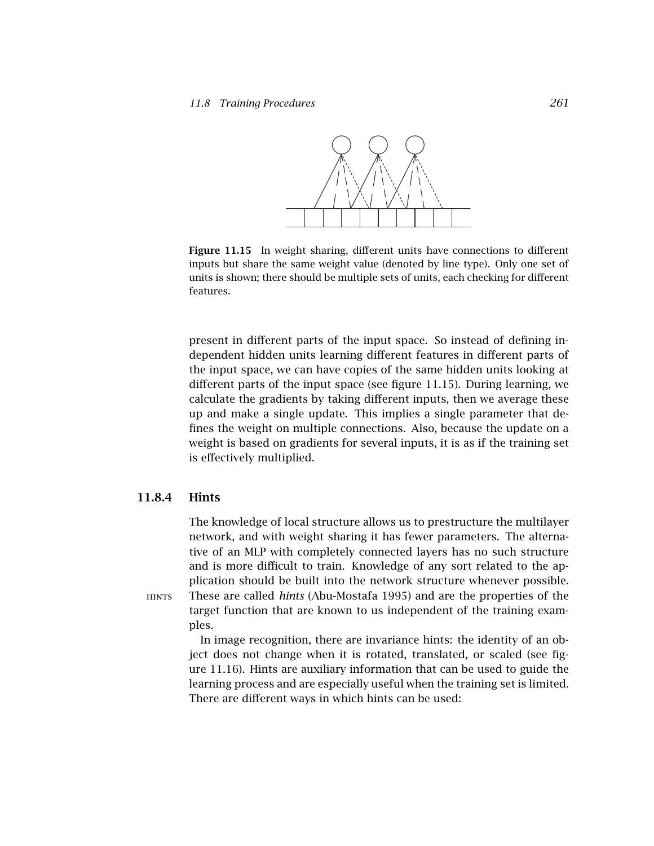

**Figure 11.15** In weight sharing, different units have connections to different inputs but share the same weight value (denoted by line type). Only one set of units is shown; there should be multiple sets of units, each checking for different features.

present in different parts of the input space. So instead of defining independent hidden units learning different features in different parts of the input space, we can have copies of the same hidden units looking at different parts of the input space (see figure 11.15). During learning, we calculate the gradients by taking different inputs, then we average these up and make a single update. This implies a single parameter that defines the weight on multiple connections. Also, because the update on a weight is based on gradients for several inputs, it is as if the training set is effectively multiplied.

## **11.8.4 Hints**

The knowledge of local structure allows us to prestructure the multilayer network, and with weight sharing it has fewer parameters. The alternative of an MLP with completely connected layers has no such structure and is more difficult to train. Knowledge of any sort related to the application should be built into the network structure whenever possible. hints These are called *hints* (Abu-Mostafa 1995) and are the properties of the target function that are known to us independent of the training examples.

In image recognition, there are invariance hints: the identity of an object does not change when it is rotated, translated, or scaled (see figure 11.16). Hints are auxiliary information that can be used to guide the learning process and are especially useful when the training set is limited. There are different ways in which hints can be used: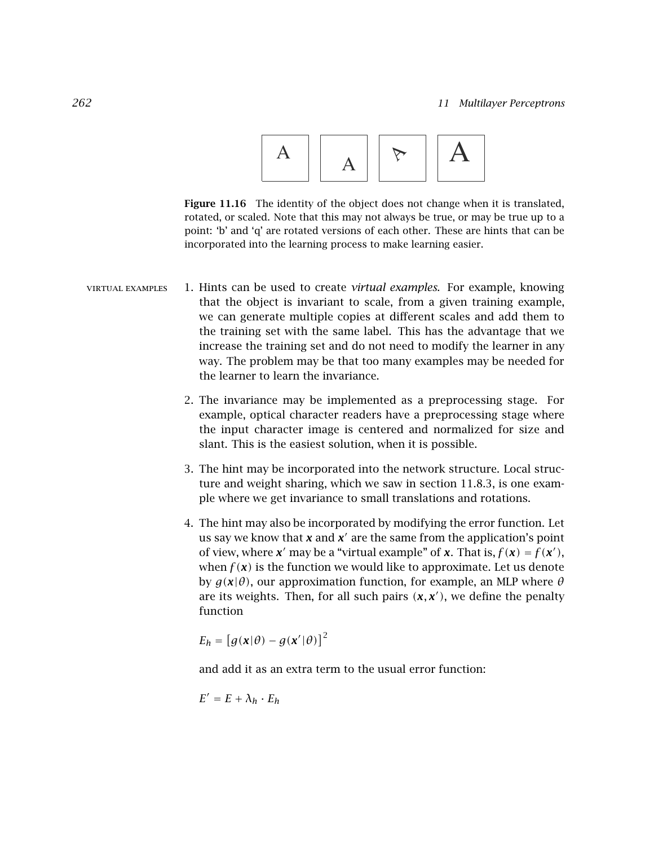

**Figure 11.16** The identity of the object does not change when it is translated, rotated, or scaled. Note that this may not always be true, or may be true up to a point: 'b' and 'q' are rotated versions of each other. These are hints that can be incorporated into the learning process to make learning easier.

- virtual examples 1. Hints can be used to create *virtual examples*. For example, knowing that the object is invariant to scale, from a given training example, we can generate multiple copies at different scales and add them to the training set with the same label. This has the advantage that we increase the training set and do not need to modify the learner in any way. The problem may be that too many examples may be needed for the learner to learn the invariance.
	- 2. The invariance may be implemented as a preprocessing stage. For example, optical character readers have a preprocessing stage where the input character image is centered and normalized for size and slant. This is the easiest solution, when it is possible.
	- 3. The hint may be incorporated into the network structure. Local structure and weight sharing, which we saw in section 11.8.3, is one example where we get invariance to small translations and rotations.
	- 4. The hint may also be incorporated by modifying the error function. Let us say we know that *x* and *x'* are the same from the application's point of view where  $y'$  may be a "virtual example" of *y*. That is,  $f(y) = f(y')$ of view, where *x*<sup>*'*</sup> may be a "virtual example" of *x*. That is,  $f(x) = f(x')$ , when  $f(x)$  is the function we would like to approximate. Let us denote when  $f(x)$  is the function we would like to approximate. Let us denote by *g(x*|*θ)*, our approximation function, for example, an MLP where *<sup>θ</sup>* are its weights. Then, for all such pairs  $(x, x')$ , we define the penalty function function

 $E_h = [g(\mathbf{x}|\theta) - g(\mathbf{x}'|\theta)]^2$ 

and add it as an extra term to the usual error function:

$$
E'=E+\lambda_h\cdot E_h
$$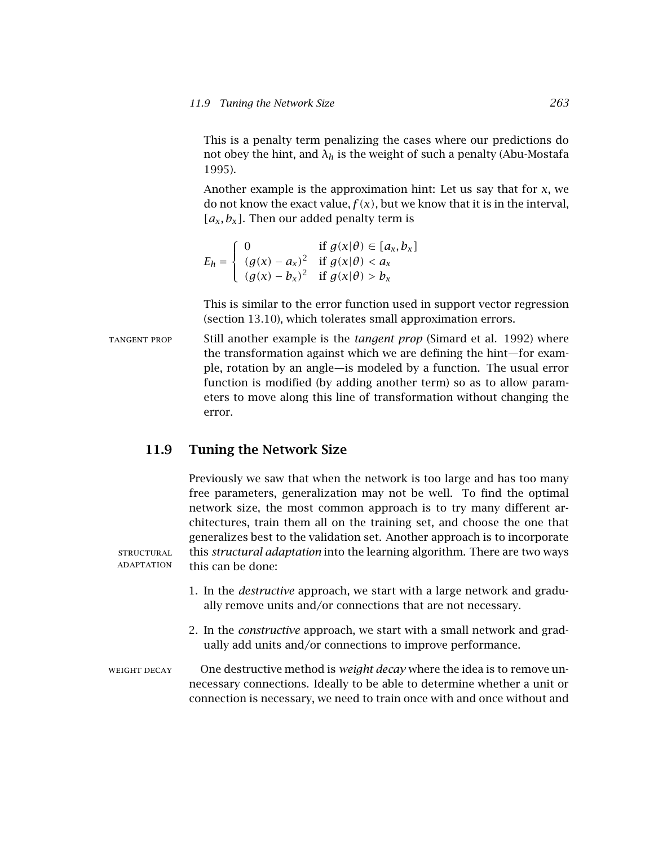This is a penalty term penalizing the cases where our predictions do not obey the hint, and  $\lambda_h$  is the weight of such a penalty (Abu-Mostafa 1995).

Another example is the approximation hint: Let us say that for *x*, we do not know the exact value,  $f(x)$ , but we know that it is in the interval,  $[a_x, b_x]$ . Then our added penalty term is

$$
E_h = \begin{cases} 0 & \text{if } g(x|\theta) \in [a_x, b_x] \\ (g(x) - a_x)^2 & \text{if } g(x|\theta) < a_x \\ (g(x) - b_x)^2 & \text{if } g(x|\theta) > b_x \end{cases}
$$

This is similar to the error function used in support vector regression (section 13.10), which tolerates small approximation errors.

tangent prop Still another example is the *tangent prop* (Simard et al. 1992) where the transformation against which we are defining the hint—for example, rotation by an angle—is modeled by a function. The usual error function is modified (by adding another term) so as to allow parameters to move along this line of transformation without changing the error.

# **11.9 Tuning the Network Size**

Previously we saw that when the network is too large and has too many free parameters, generalization may not be well. To find the optimal network size, the most common approach is to try many different architectures, train them all on the training set, and choose the one that generalizes best to the validation set. Another approach is to incorporate structural this *structural adaptation* into the learning algorithm. There are two ways adaptation this can be done:

- 1. In the *destructive* approach, we start with a large network and gradually remove units and/or connections that are not necessary.
- 2. In the *constructive* approach, we start with a small network and gradually add units and/or connections to improve performance.

weight decay One destructive method is *weight decay* where the idea is to remove unnecessary connections. Ideally to be able to determine whether a unit or connection is necessary, we need to train once with and once without and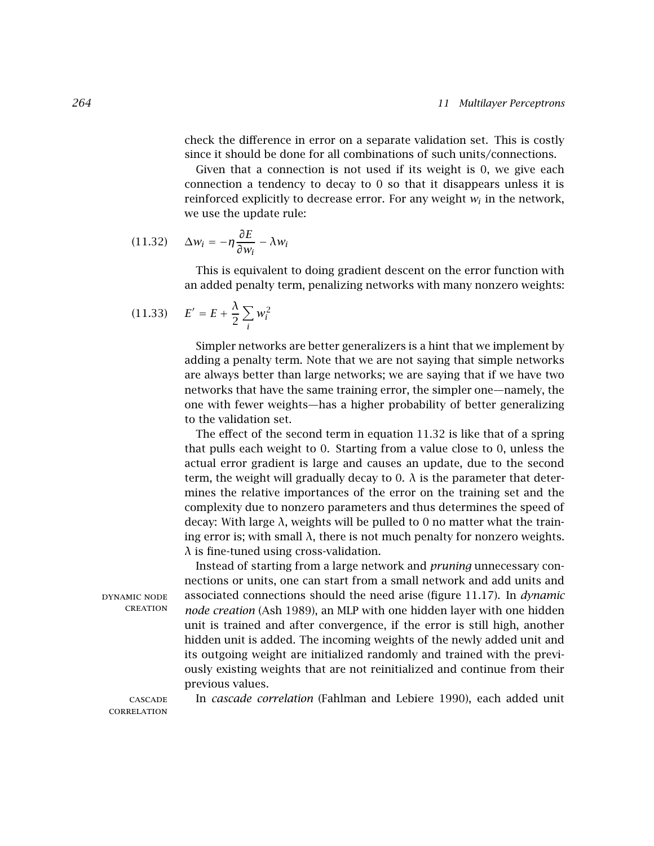check the difference in error on a separate validation set. This is costly since it should be done for all combinations of such units/connections.

Given that a connection is not used if its weight is 0, we give each connection a tendency to decay to 0 so that it disappears unless it is reinforced explicitly to decrease error. For any weight  $w_i$  in the network, we use the update rule:

$$
(11.32) \quad \Delta w_i = -\eta \frac{\partial E}{\partial w_i} - \lambda w_i
$$

This is equivalent to doing gradient descent on the error function with an added penalty term, penalizing networks with many nonzero weights:

$$
(11.33) \t E' = E + \frac{\lambda}{2} \sum_i w_i^2
$$

Simpler networks are better generalizers is a hint that we implement by adding a penalty term. Note that we are not saying that simple networks are always better than large networks; we are saying that if we have two networks that have the same training error, the simpler one—namely, the one with fewer weights—has a higher probability of better generalizing to the validation set.

The effect of the second term in equation 11.32 is like that of a spring that pulls each weight to 0. Starting from a value close to 0, unless the actual error gradient is large and causes an update, due to the second term, the weight will gradually decay to 0.  $\lambda$  is the parameter that determines the relative importances of the error on the training set and the complexity due to nonzero parameters and thus determines the speed of decay: With large *λ*, weights will be pulled to 0 no matter what the training error is; with small  $\lambda$ , there is not much penalty for nonzero weights. *λ* is fine-tuned using cross-validation.

Instead of starting from a large network and *pruning* unnecessary connections or units, one can start from a small network and add units and dynamic node associated connections should the need arise (figure 11.17). In *dynamic* creation *node creation* (Ash 1989), an MLP with one hidden layer with one hidden unit is trained and after convergence, if the error is still high, another hidden unit is added. The incoming weights of the newly added unit and its outgoing weight are initialized randomly and trained with the previously existing weights that are not reinitialized and continue from their previous values.

**CORRELATION** 

cascade In *cascade correlation* (Fahlman and Lebiere 1990), each added unit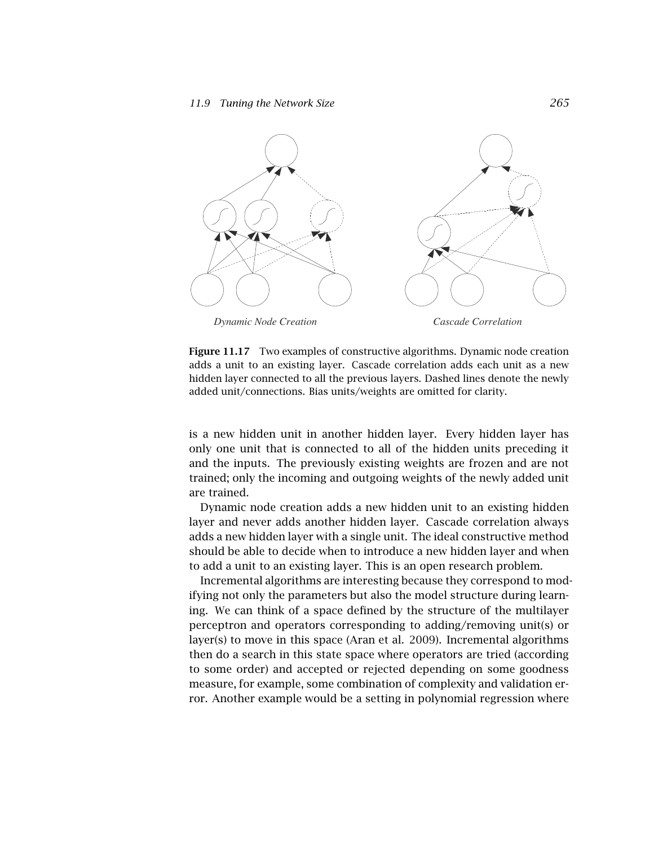

**Figure 11.17** Two examples of constructive algorithms. Dynamic node creation adds a unit to an existing layer. Cascade correlation adds each unit as a new hidden layer connected to all the previous layers. Dashed lines denote the newly added unit/connections. Bias units/weights are omitted for clarity.

is a new hidden unit in another hidden layer. Every hidden layer has only one unit that is connected to all of the hidden units preceding it and the inputs. The previously existing weights are frozen and are not trained; only the incoming and outgoing weights of the newly added unit are trained.

Dynamic node creation adds a new hidden unit to an existing hidden layer and never adds another hidden layer. Cascade correlation always adds a new hidden layer with a single unit. The ideal constructive method should be able to decide when to introduce a new hidden layer and when to add a unit to an existing layer. This is an open research problem.

Incremental algorithms are interesting because they correspond to modifying not only the parameters but also the model structure during learning. We can think of a space defined by the structure of the multilayer perceptron and operators corresponding to adding/removing unit(s) or layer(s) to move in this space (Aran et al. 2009). Incremental algorithms then do a search in this state space where operators are tried (according to some order) and accepted or rejected depending on some goodness measure, for example, some combination of complexity and validation error. Another example would be a setting in polynomial regression where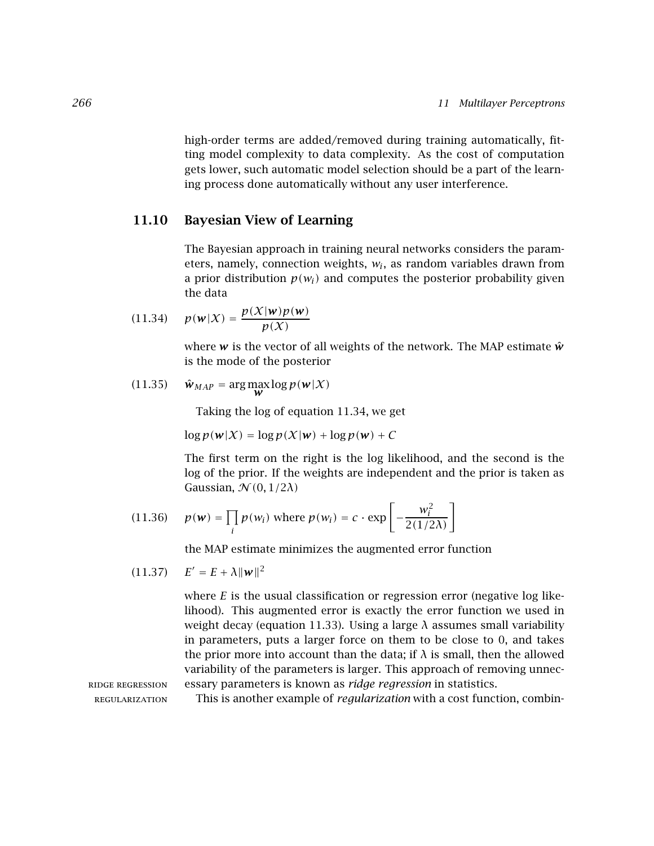high-order terms are added/removed during training automatically, fitting model complexity to data complexity. As the cost of computation gets lower, such automatic model selection should be a part of the learning process done automatically without any user interference.

## **11.10 Bayesian View of Learning**

The Bayesian approach in training neural networks considers the parameters, namely, connection weights, *wi*, as random variables drawn from a prior distribution  $p(w_i)$  and computes the posterior probability given the data

$$
(11.34) \qquad p(\mathbf{w}|\mathcal{X}) = \frac{p(\mathcal{X}|\mathbf{w})p(\mathbf{w})}{p(\mathcal{X})}
$$

where  $w$  is the vector of all weights of the network. The MAP estimate  $\hat{w}$ is the mode of the posterior

(11.35) 
$$
\hat{\mathbf{w}}_{MAP} = \arg \max_{\mathbf{w}} \log p(\mathbf{w} | \mathcal{X})
$$

Taking the log of equation 11.34, we get

 $\log p(\mathbf{w}|\mathcal{X}) = \log p(\mathcal{X}|\mathbf{w}) + \log p(\mathbf{w}) + C$ 

The first term on the right is the log likelihood, and the second is the log of the prior. If the weights are independent and the prior is taken as Gaussian,  $\mathcal{N}(0, 1/2\lambda)$ 

 $\overline{a}$ 

(11.36) 
$$
p(w) = \prod_i p(w_i)
$$
 where  $p(w_i) = c \cdot \exp\left[-\frac{w_i^2}{2(1/2\lambda)}\right]$ 

the MAP estimate minimizes the augmented error function

$$
(11.37) \t E' = E + \lambda ||\mathbf{w}||^2
$$

where *E* is the usual classification or regression error (negative log likelihood). This augmented error is exactly the error function we used in weight decay (equation 11.33). Using a large  $\lambda$  assumes small variability in parameters, puts a larger force on them to be close to 0, and takes the prior more into account than the data; if  $\lambda$  is small, then the allowed variability of the parameters is larger. This approach of removing unnecridge regression essary parameters is known as *ridge regression* in statistics.

regularization This is another example of *regularization* with a cost function, combin-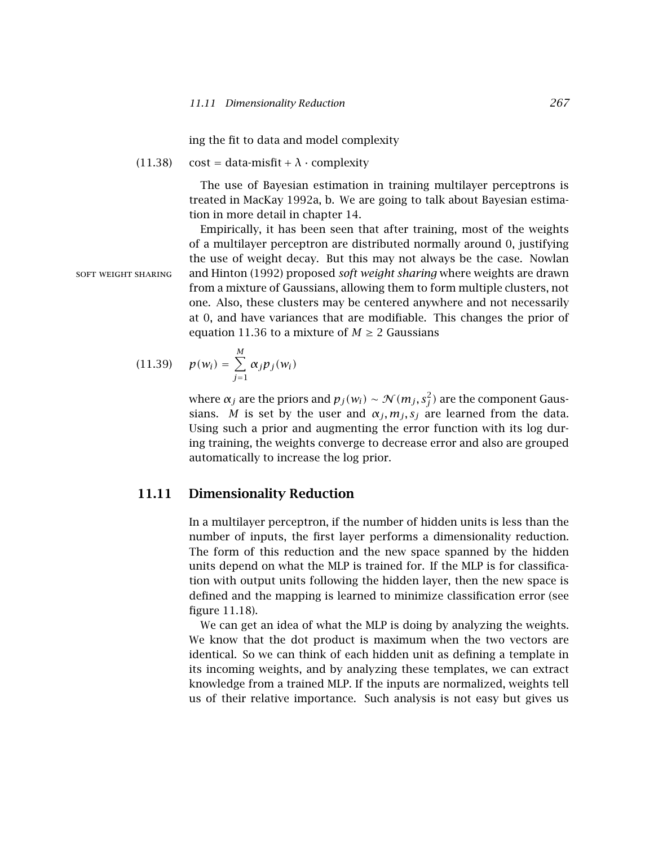ing the fit to data and model complexity

(11.38) cost = data-misfit + 
$$
\lambda
$$
 \cdot complexity

The use of Bayesian estimation in training multilayer perceptrons is treated in MacKay 1992a, b. We are going to talk about Bayesian estimation in more detail in chapter 14.

Empirically, it has been seen that after training, most of the weights of a multilayer perceptron are distributed normally around 0, justifying the use of weight decay. But this may not always be the case. Nowlan soft weight sharing and Hinton (1992) proposed *soft weight sharing* where weights are drawn from a mixture of Gaussians, allowing them to form multiple clusters, not one. Also, these clusters may be centered anywhere and not necessarily at 0, and have variances that are modifiable. This changes the prior of equation 11.36 to a mixture of  $M \geq 2$  Gaussians

(11.39) 
$$
p(w_i) = \sum_{j=1}^{M} \alpha_j p_j(w_i)
$$

where  $\alpha_j$  are the priors and  $p_j(w_i) \sim \mathcal{N}(m_j, s_j^2)$  are the component Gaussians. *M* is set by the user and  $\alpha_j$ ,  $m_j$ ,  $s_j$  are learned from the data. Using such a prior and augmenting the error function with its log during training, the weights converge to decrease error and also are grouped automatically to increase the log prior.

## **11.11 Dimensionality Reduction**

In a multilayer perceptron, if the number of hidden units is less than the number of inputs, the first layer performs a dimensionality reduction. The form of this reduction and the new space spanned by the hidden units depend on what the MLP is trained for. If the MLP is for classification with output units following the hidden layer, then the new space is defined and the mapping is learned to minimize classification error (see figure 11.18).

We can get an idea of what the MLP is doing by analyzing the weights. We know that the dot product is maximum when the two vectors are identical. So we can think of each hidden unit as defining a template in its incoming weights, and by analyzing these templates, we can extract knowledge from a trained MLP. If the inputs are normalized, weights tell us of their relative importance. Such analysis is not easy but gives us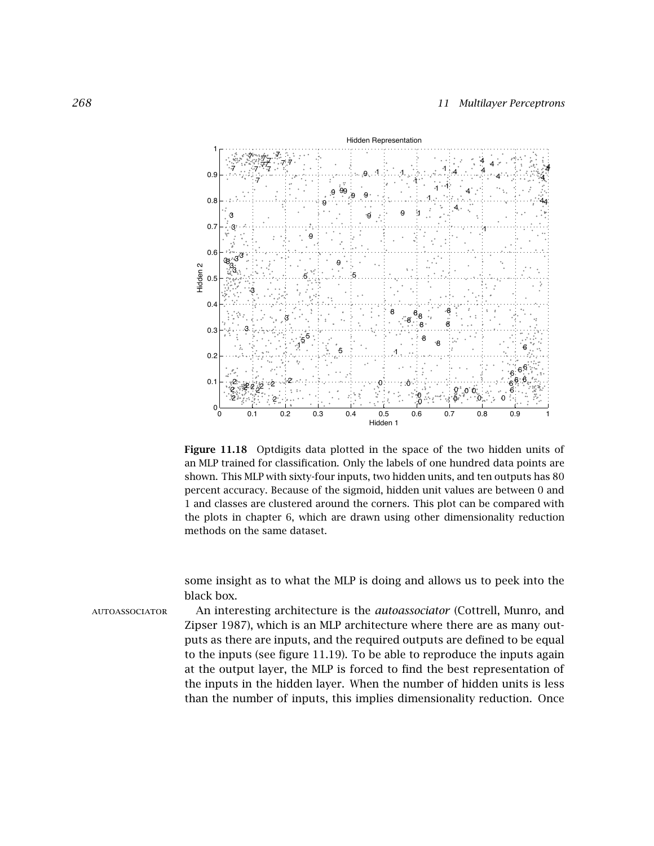

**Figure 11.18** Optdigits data plotted in the space of the two hidden units of an MLP trained for classification. Only the labels of one hundred data points are shown. This MLP with sixty-four inputs, two hidden units, and ten outputs has 80 percent accuracy. Because of the sigmoid, hidden unit values are between 0 and 1 and classes are clustered around the corners. This plot can be compared with the plots in chapter 6, which are drawn using other dimensionality reduction methods on the same dataset.

some insight as to what the MLP is doing and allows us to peek into the black box.

autoassociator An interesting architecture is the *autoassociator* (Cottrell, Munro, and Zipser 1987), which is an MLP architecture where there are as many outputs as there are inputs, and the required outputs are defined to be equal to the inputs (see figure 11.19). To be able to reproduce the inputs again at the output layer, the MLP is forced to find the best representation of the inputs in the hidden layer. When the number of hidden units is less than the number of inputs, this implies dimensionality reduction. Once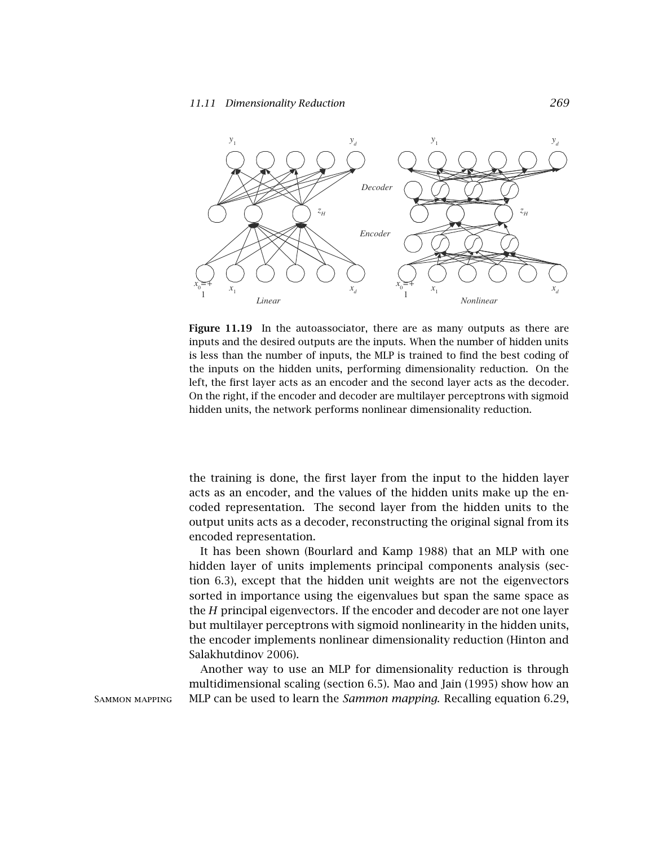

Figure 11.19 In the autoassociator, there are as many outputs as there are inputs and the desired outputs are the inputs. When the number of hidden units is less than the number of inputs, the MLP is trained to find the best coding of the inputs on the hidden units, performing dimensionality reduction. On the left, the first layer acts as an encoder and the second layer acts as the decoder. On the right, if the encoder and decoder are multilayer perceptrons with sigmoid hidden units, the network performs nonlinear dimensionality reduction.

the training is done, the first layer from the input to the hidden layer acts as an encoder, and the values of the hidden units make up the encoded representation. The second layer from the hidden units to the output units acts as a decoder, reconstructing the original signal from its encoded representation.

It has been shown (Bourlard and Kamp 1988) that an MLP with one hidden layer of units implements principal components analysis (section 6.3), except that the hidden unit weights are not the eigenvectors sorted in importance using the eigenvalues but span the same space as the *H* principal eigenvectors. If the encoder and decoder are not one layer but multilayer perceptrons with sigmoid nonlinearity in the hidden units, the encoder implements nonlinear dimensionality reduction (Hinton and Salakhutdinov 2006).

Another way to use an MLP for dimensionality reduction is through multidimensional scaling (section 6.5). Mao and Jain (1995) show how an Sammon mapping MLP can be used to learn the *Sammon mapping*. Recalling equation 6.29,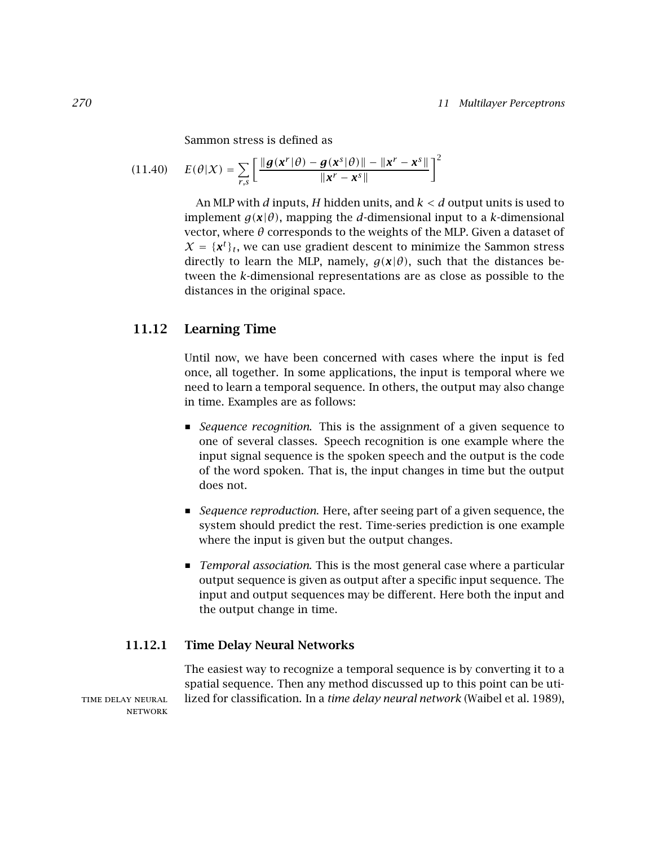Sammon stress is defined as

$$
(11.40) \qquad E(\theta|\mathcal{X}) = \sum_{r,s} \left[ \frac{\|\boldsymbol{g}(\boldsymbol{x}^r|\theta) - \boldsymbol{g}(\boldsymbol{x}^s|\theta)\| - \|\boldsymbol{x}^r - \boldsymbol{x}^s\|}{\|\boldsymbol{x}^r - \boldsymbol{x}^s\|} \right]^2
$$

An MLP with *d* inputs, *H* hidden units, and *k<d* output units is used to implement  $g(x|\theta)$ , mapping the *d*-dimensional input to a *k*-dimensional vector, where *θ* corresponds to the weights of the MLP. Given a dataset of  $X = \{x^t\}_t$ , we can use gradient descent to minimize the Sammon stress<br>directly to learn the MID namely,  $g(y|\theta)$  such that the distances be directly to learn the MLP, namely,  $g(x|\theta)$ , such that the distances between the *k*-dimensional representations are as close as possible to the distances in the original space.

## **11.12 Learning Time**

Until now, we have been concerned with cases where the input is fed once, all together. In some applications, the input is temporal where we need to learn a temporal sequence. In others, the output may also change in time. Examples are as follows:

- **Example 3** Sequence recognition. This is the assignment of a given sequence to one of several classes. Speech recognition is one example where the input signal sequence is the spoken speech and the output is the code of the word spoken. That is, the input changes in time but the output does not.
- **EX** Sequence reproduction. Here, after seeing part of a given sequence, the system should predict the rest. Time-series prediction is one example where the input is given but the output changes.
- **Temporal association.** This is the most general case where a particular output sequence is given as output after a specific input sequence. The input and output sequences may be different. Here both the input and the output change in time.

## **11.12.1 Time Delay Neural Networks**

The easiest way to recognize a temporal sequence is by converting it to a spatial sequence. Then any method discussed up to this point can be utitime delay neural lized for classification. In a *time delay neural network* (Waibel et al. 1989),

**NETWORK**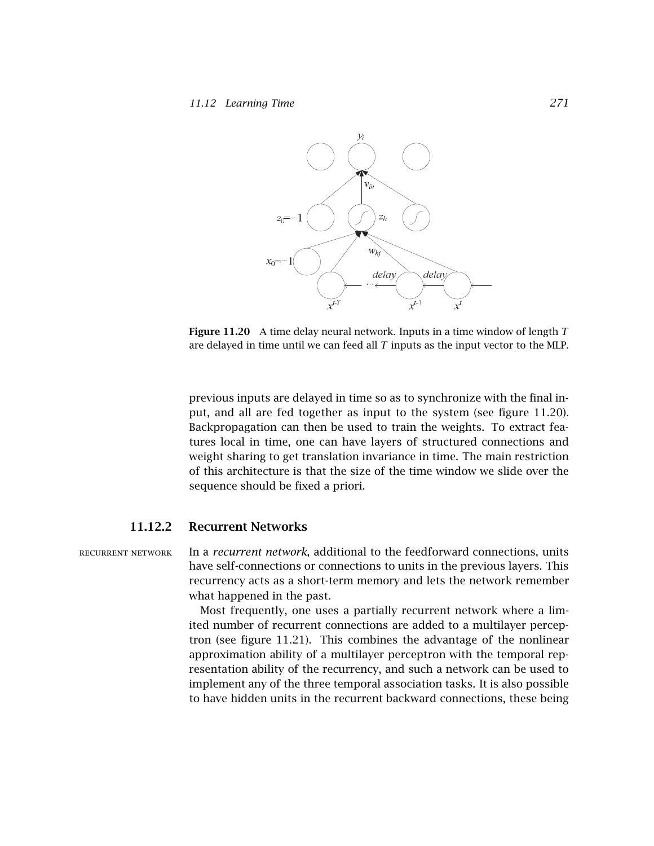

**Figure 11.20** A time delay neural network. Inputs in a time window of length *T* are delayed in time until we can feed all *T* inputs as the input vector to the MLP.

previous inputs are delayed in time so as to synchronize with the final input, and all are fed together as input to the system (see figure 11.20). Backpropagation can then be used to train the weights. To extract features local in time, one can have layers of structured connections and weight sharing to get translation invariance in time. The main restriction of this architecture is that the size of the time window we slide over the sequence should be fixed a priori.

## **11.12.2 Recurrent Networks**

recurrent network In a *recurrent network*, additional to the feedforward connections, units have self-connections or connections to units in the previous layers. This recurrency acts as a short-term memory and lets the network remember what happened in the past.

> Most frequently, one uses a partially recurrent network where a limited number of recurrent connections are added to a multilayer perceptron (see figure 11.21). This combines the advantage of the nonlinear approximation ability of a multilayer perceptron with the temporal representation ability of the recurrency, and such a network can be used to implement any of the three temporal association tasks. It is also possible to have hidden units in the recurrent backward connections, these being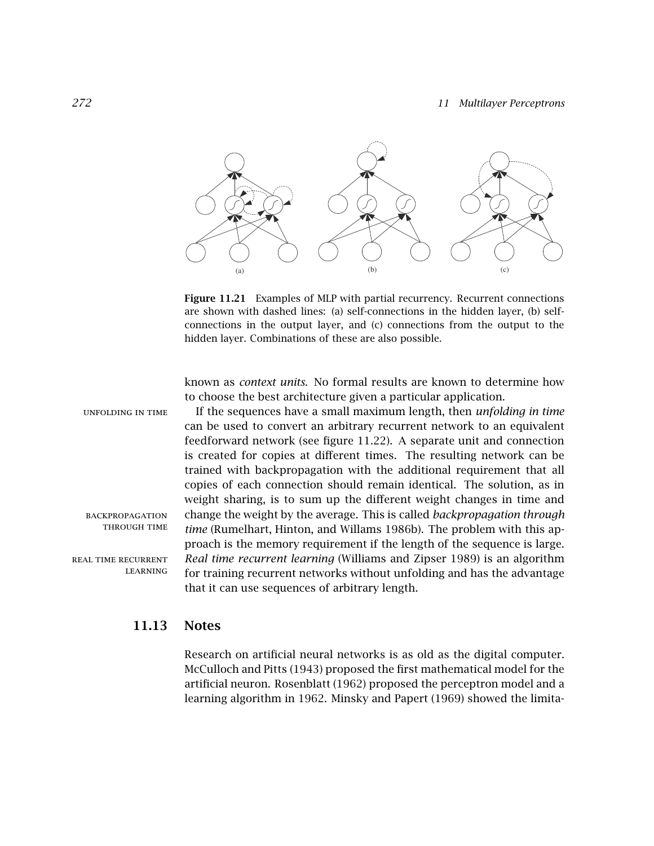

**Figure 11.21** Examples of MLP with partial recurrency. Recurrent connections are shown with dashed lines: (a) self-connections in the hidden layer, (b) selfconnections in the output layer, and (c) connections from the output to the hidden layer. Combinations of these are also possible.

known as *context units*. No formal results are known to determine how to choose the best architecture given a particular application.

unfolding in time If the sequences have a small maximum length, then *unfolding in time* can be used to convert an arbitrary recurrent network to an equivalent feedforward network (see figure 11.22). A separate unit and connection is created for copies at different times. The resulting network can be trained with backpropagation with the additional requirement that all copies of each connection should remain identical. The solution, as in weight sharing, is to sum up the different weight changes in time and backpropagation change the weight by the average. This is called *backpropagation through* through time *time* (Rumelhart, Hinton, and Willams 1986b). The problem with this approach is the memory requirement if the length of the sequence is large. real time recurrent *Real time recurrent learning* (Williams and Zipser 1989) is an algorithm learning for training recurrent networks without unfolding and has the advantage that it can use sequences of arbitrary length.

#### **11.13 Notes**

Research on artificial neural networks is as old as the digital computer. McCulloch and Pitts (1943) proposed the first mathematical model for the artificial neuron. Rosenblatt (1962) proposed the perceptron model and a learning algorithm in 1962. Minsky and Papert (1969) showed the limita-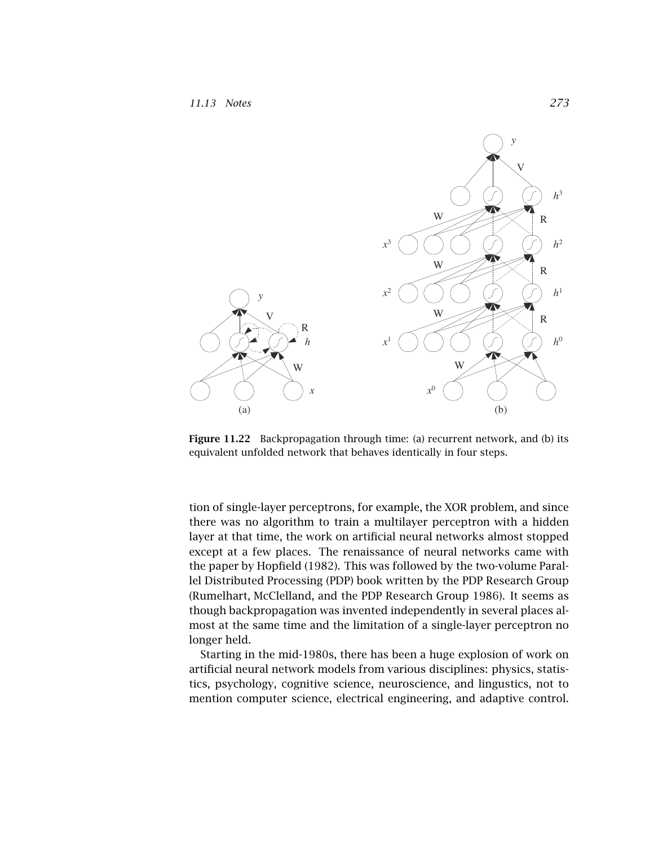

**Figure 11.22** Backpropagation through time: (a) recurrent network, and (b) its equivalent unfolded network that behaves identically in four steps.

tion of single-layer perceptrons, for example, the XOR problem, and since there was no algorithm to train a multilayer perceptron with a hidden layer at that time, the work on artificial neural networks almost stopped except at a few places. The renaissance of neural networks came with the paper by Hopfield (1982). This was followed by the two-volume Parallel Distributed Processing (PDP) book written by the PDP Research Group (Rumelhart, McClelland, and the PDP Research Group 1986). It seems as though backpropagation was invented independently in several places almost at the same time and the limitation of a single-layer perceptron no longer held.

Starting in the mid-1980s, there has been a huge explosion of work on artificial neural network models from various disciplines: physics, statistics, psychology, cognitive science, neuroscience, and lingustics, not to mention computer science, electrical engineering, and adaptive control.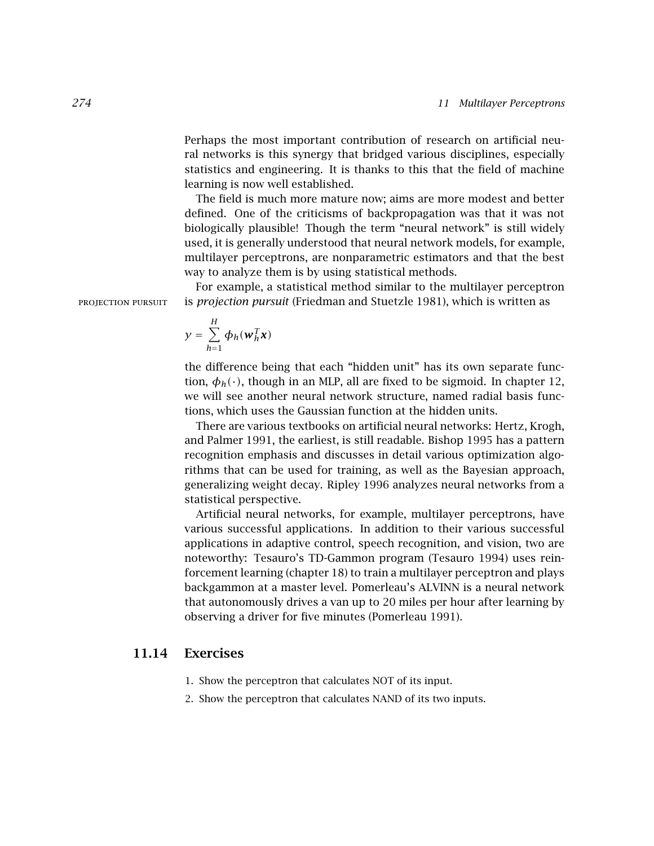Perhaps the most important contribution of research on artificial neural networks is this synergy that bridged various disciplines, especially statistics and engineering. It is thanks to this that the field of machine learning is now well established.

The field is much more mature now; aims are more modest and better defined. One of the criticisms of backpropagation was that it was not biologically plausible! Though the term "neural network" is still widely used, it is generally understood that neural network models, for example, multilayer perceptrons, are nonparametric estimators and that the best way to analyze them is by using statistical methods.

For example, a statistical method similar to the multilayer perceptron projection pursuit is *projection pursuit* (Friedman and Stuetzle 1981), which is written as

$$
y = \sum_{h=1}^{H} \phi_h(w_h^T \mathbf{x})
$$

the difference being that each "hidden unit" has its own separate function,  $\phi_h(\cdot)$ , though in an MLP, all are fixed to be sigmoid. In chapter 12, we will see another neural network structure, named radial basis functions, which uses the Gaussian function at the hidden units.

There are various textbooks on artificial neural networks: Hertz, Krogh, and Palmer 1991, the earliest, is still readable. Bishop 1995 has a pattern recognition emphasis and discusses in detail various optimization algorithms that can be used for training, as well as the Bayesian approach, generalizing weight decay. Ripley 1996 analyzes neural networks from a statistical perspective.

Artificial neural networks, for example, multilayer perceptrons, have various successful applications. In addition to their various successful applications in adaptive control, speech recognition, and vision, two are noteworthy: Tesauro's TD-Gammon program (Tesauro 1994) uses reinforcement learning (chapter 18) to train a multilayer perceptron and plays backgammon at a master level. Pomerleau's ALVINN is a neural network that autonomously drives a van up to 20 miles per hour after learning by observing a driver for five minutes (Pomerleau 1991).

## **11.14 Exercises**

- 1. Show the perceptron that calculates NOT of its input.
- 2. Show the perceptron that calculates NAND of its two inputs.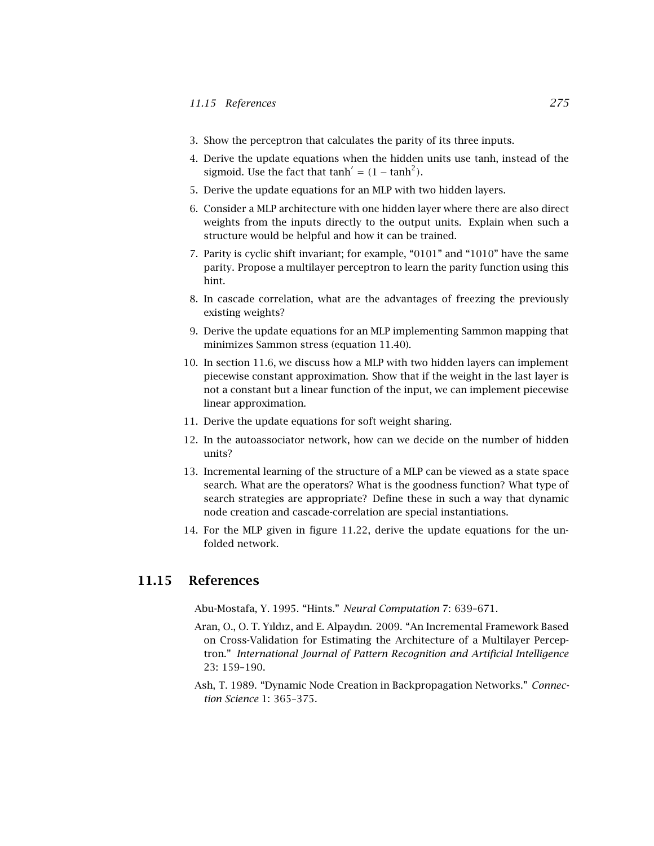- 3. Show the perceptron that calculates the parity of its three inputs.
- 4. Derive the update equations when the hidden units use tanh, instead of the sigmoid. Use the fact that  $tanh' = (1 - tanh^2)$ .
- 5. Derive the update equations for an MLP with two hidden layers.
- 6. Consider a MLP architecture with one hidden layer where there are also direct weights from the inputs directly to the output units. Explain when such a structure would be helpful and how it can be trained.
- 7. Parity is cyclic shift invariant; for example, "0101" and "1010" have the same parity. Propose a multilayer perceptron to learn the parity function using this hint.
- 8. In cascade correlation, what are the advantages of freezing the previously existing weights?
- 9. Derive the update equations for an MLP implementing Sammon mapping that minimizes Sammon stress (equation 11.40).
- 10. In section 11.6, we discuss how a MLP with two hidden layers can implement piecewise constant approximation. Show that if the weight in the last layer is not a constant but a linear function of the input, we can implement piecewise linear approximation.
- 11. Derive the update equations for soft weight sharing.
- 12. In the autoassociator network, how can we decide on the number of hidden units?
- 13. Incremental learning of the structure of a MLP can be viewed as a state space search. What are the operators? What is the goodness function? What type of search strategies are appropriate? Define these in such a way that dynamic node creation and cascade-correlation are special instantiations.
- 14. For the MLP given in figure 11.22, derive the update equations for the unfolded network.

# **11.15 References**

Abu-Mostafa, Y. 1995. "Hints." *Neural Computation* 7: 639–671.

- Aran, O., O. T. Yıldız, and E. Alpaydın. 2009. "An Incremental Framework Based on Cross-Validation for Estimating the Architecture of a Multilayer Perceptron." *International Journal of Pattern Recognition and Artificial Intelligence* 23: 159–190.
- Ash, T. 1989. "Dynamic Node Creation in Backpropagation Networks." *Connection Science* 1: 365–375.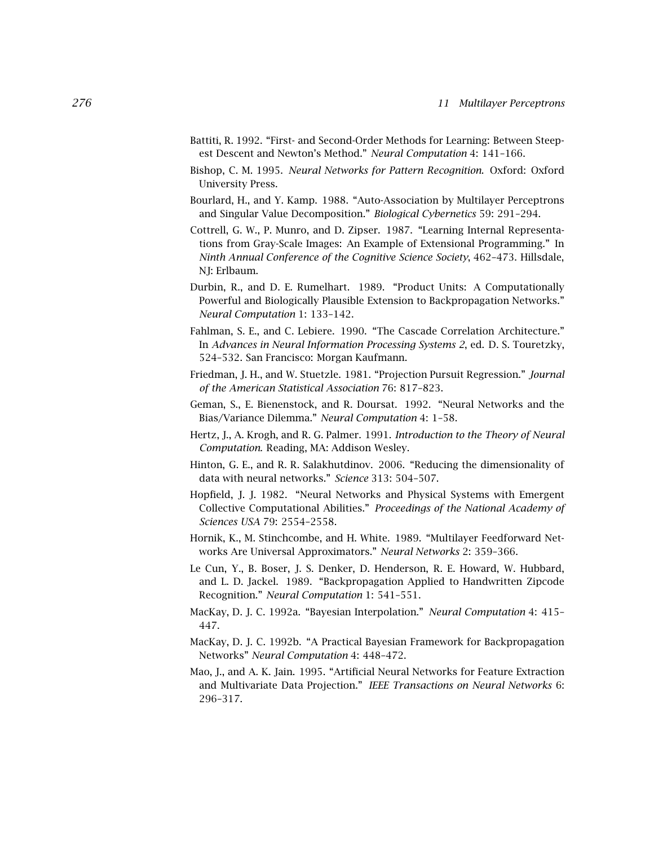- Battiti, R. 1992. "First- and Second-Order Methods for Learning: Between Steepest Descent and Newton's Method." *Neural Computation* 4: 141–166.
- Bishop, C. M. 1995. *Neural Networks for Pattern Recognition*. Oxford: Oxford University Press.
- Bourlard, H., and Y. Kamp. 1988. "Auto-Association by Multilayer Perceptrons and Singular Value Decomposition." *Biological Cybernetics* 59: 291–294.
- Cottrell, G. W., P. Munro, and D. Zipser. 1987. "Learning Internal Representations from Gray-Scale Images: An Example of Extensional Programming." In *Ninth Annual Conference of the Cognitive Science Society*, 462–473. Hillsdale, NJ: Erlbaum.
- Durbin, R., and D. E. Rumelhart. 1989. "Product Units: A Computationally Powerful and Biologically Plausible Extension to Backpropagation Networks." *Neural Computation* 1: 133–142.
- Fahlman, S. E., and C. Lebiere. 1990. "The Cascade Correlation Architecture." In *Advances in Neural Information Processing Systems 2*, ed. D. S. Touretzky, 524–532. San Francisco: Morgan Kaufmann.
- Friedman, J. H., and W. Stuetzle. 1981. "Projection Pursuit Regression." *Journal of the American Statistical Association* 76: 817–823.
- Geman, S., E. Bienenstock, and R. Doursat. 1992. "Neural Networks and the Bias/Variance Dilemma." *Neural Computation* 4: 1–58.
- Hertz, J., A. Krogh, and R. G. Palmer. 1991. *Introduction to the Theory of Neural Computation*. Reading, MA: Addison Wesley.
- Hinton, G. E., and R. R. Salakhutdinov. 2006. "Reducing the dimensionality of data with neural networks." *Science* 313: 504–507.
- Hopfield, J. J. 1982. "Neural Networks and Physical Systems with Emergent Collective Computational Abilities." *Proceedings of the National Academy of Sciences USA* 79: 2554–2558.
- Hornik, K., M. Stinchcombe, and H. White. 1989. "Multilayer Feedforward Networks Are Universal Approximators." *Neural Networks* 2: 359–366.
- Le Cun, Y., B. Boser, J. S. Denker, D. Henderson, R. E. Howard, W. Hubbard, and L. D. Jackel. 1989. "Backpropagation Applied to Handwritten Zipcode Recognition." *Neural Computation* 1: 541–551.
- MacKay, D. J. C. 1992a. "Bayesian Interpolation." *Neural Computation* 4: 415– 447.
- MacKay, D. J. C. 1992b. "A Practical Bayesian Framework for Backpropagation Networks" *Neural Computation* 4: 448–472.
- Mao, J., and A. K. Jain. 1995. "Artificial Neural Networks for Feature Extraction and Multivariate Data Projection." *IEEE Transactions on Neural Networks* 6: 296–317.